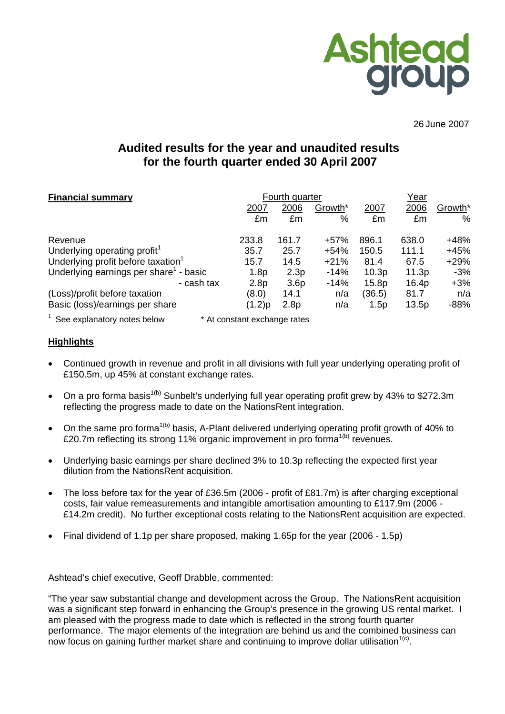

26 June 2007

# **Audited results for the year and unaudited results for the fourth quarter ended 30 April 2007**

| <b>Financial summary</b>                           | Fourth quarter               |                  |         |                   | Year  |         |  |
|----------------------------------------------------|------------------------------|------------------|---------|-------------------|-------|---------|--|
|                                                    | 2007                         | 2006             | Growth* | 2007              | 2006  | Growth* |  |
|                                                    | £m                           | £m               | $\%$    | £m                | £m    | %       |  |
| Revenue                                            | 233.8                        | 161.7            | $+57%$  | 896.1             | 638.0 | $+48%$  |  |
| Underlying operating profit <sup>1</sup>           | 35.7                         | 25.7             | $+54%$  | 150.5             | 111.1 | $+45%$  |  |
| Underlying profit before taxation <sup>1</sup>     | 15.7                         | 14.5             | $+21%$  | 81.4              | 67.5  | $+29%$  |  |
| Underlying earnings per share <sup>1</sup> - basic | 1.8 <sub>p</sub>             | 2.3p             | $-14%$  | 10.3 <sub>p</sub> | 11.3p | $-3%$   |  |
| - cash tax                                         | 2.8 <sub>p</sub>             | 3.6 <sub>p</sub> | $-14%$  | 15.8 <sub>p</sub> | 16.4p | $+3%$   |  |
| (Loss)/profit before taxation                      | (8.0)                        | 14.1             | n/a     | (36.5)            | 81.7  | n/a     |  |
| Basic (loss)/earnings per share                    | (1.2)p                       | 2.8 <sub>p</sub> | n/a     | 1.5p              | 13.5p | $-88%$  |  |
| $1$ See explanatory notes below                    | * At constant exchange rates |                  |         |                   |       |         |  |

## **Highlights**

- Continued growth in revenue and profit in all divisions with full year underlying operating profit of £150.5m, up 45% at constant exchange rates.
- On a pro forma basis<sup>1(b)</sup> Sunbelt's underlying full year operating profit grew by 43% to \$272.3m reflecting the progress made to date on the NationsRent integration.
- On the same pro forma<sup>1(b)</sup> basis, A-Plant delivered underlying operating profit growth of 40% to £20.7m reflecting its strong 11% organic improvement in pro forma<sup>1(b)</sup> revenues.
- Underlying basic earnings per share declined 3% to 10.3p reflecting the expected first year dilution from the NationsRent acquisition.
- The loss before tax for the year of £36.5m (2006 profit of £81.7m) is after charging exceptional costs, fair value remeasurements and intangible amortisation amounting to £117.9m (2006 - £14.2m credit). No further exceptional costs relating to the NationsRent acquisition are expected.
- Final dividend of 1.1p per share proposed, making 1.65p for the year (2006 1.5p)

Ashtead's chief executive, Geoff Drabble, commented:

"The year saw substantial change and development across the Group. The NationsRent acquisition was a significant step forward in enhancing the Group's presence in the growing US rental market. I am pleased with the progress made to date which is reflected in the strong fourth quarter performance. The major elements of the integration are behind us and the combined business can now focus on gaining further market share and continuing to improve dollar utilisation<sup>1(c)</sup>.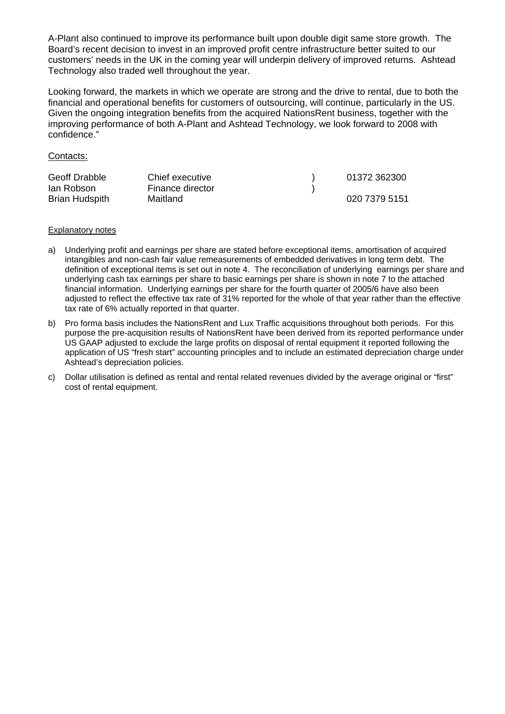A-Plant also continued to improve its performance built upon double digit same store growth. The Board's recent decision to invest in an improved profit centre infrastructure better suited to our customers' needs in the UK in the coming year will underpin delivery of improved returns. Ashtead Technology also traded well throughout the year.

Looking forward, the markets in which we operate are strong and the drive to rental, due to both the financial and operational benefits for customers of outsourcing, will continue, particularly in the US. Given the ongoing integration benefits from the acquired NationsRent business, together with the improving performance of both A-Plant and Ashtead Technology, we look forward to 2008 with confidence."

#### Contacts:

| Geoff Drabble         | Chief executive  | 01372 362300  |
|-----------------------|------------------|---------------|
| lan Robson            | Finance director |               |
| <b>Brian Hudspith</b> | Maitland         | 020 7379 5151 |

#### Explanatory notes

- a) Underlying profit and earnings per share are stated before exceptional items, amortisation of acquired intangibles and non-cash fair value remeasurements of embedded derivatives in long term debt. The definition of exceptional items is set out in note 4. The reconciliation of underlying earnings per share and underlying cash tax earnings per share to basic earnings per share is shown in note 7 to the attached financial information. Underlying earnings per share for the fourth quarter of 2005/6 have also been adjusted to reflect the effective tax rate of 31% reported for the whole of that year rather than the effective tax rate of 6% actually reported in that quarter.
- b) Pro forma basis includes the NationsRent and Lux Traffic acquisitions throughout both periods. For this purpose the pre-acquisition results of NationsRent have been derived from its reported performance under US GAAP adjusted to exclude the large profits on disposal of rental equipment it reported following the application of US "fresh start" accounting principles and to include an estimated depreciation charge under Ashtead's depreciation policies.
- c) Dollar utilisation is defined as rental and rental related revenues divided by the average original or "first" cost of rental equipment.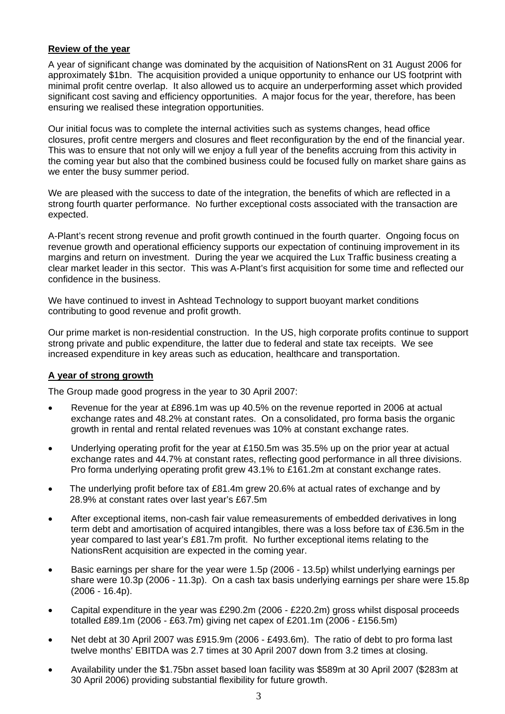## **Review of the year**

A year of significant change was dominated by the acquisition of NationsRent on 31 August 2006 for approximately \$1bn. The acquisition provided a unique opportunity to enhance our US footprint with minimal profit centre overlap. It also allowed us to acquire an underperforming asset which provided significant cost saving and efficiency opportunities. A major focus for the year, therefore, has been ensuring we realised these integration opportunities.

Our initial focus was to complete the internal activities such as systems changes, head office closures, profit centre mergers and closures and fleet reconfiguration by the end of the financial year. This was to ensure that not only will we enjoy a full year of the benefits accruing from this activity in the coming year but also that the combined business could be focused fully on market share gains as we enter the busy summer period.

We are pleased with the success to date of the integration, the benefits of which are reflected in a strong fourth quarter performance. No further exceptional costs associated with the transaction are expected.

A-Plant's recent strong revenue and profit growth continued in the fourth quarter. Ongoing focus on revenue growth and operational efficiency supports our expectation of continuing improvement in its margins and return on investment. During the year we acquired the Lux Traffic business creating a clear market leader in this sector. This was A-Plant's first acquisition for some time and reflected our confidence in the business.

We have continued to invest in Ashtead Technology to support buoyant market conditions contributing to good revenue and profit growth.

Our prime market is non-residential construction. In the US, high corporate profits continue to support strong private and public expenditure, the latter due to federal and state tax receipts. We see increased expenditure in key areas such as education, healthcare and transportation.

# **A year of strong growth**

The Group made good progress in the year to 30 April 2007:

- Revenue for the year at £896.1m was up 40.5% on the revenue reported in 2006 at actual exchange rates and 48.2% at constant rates. On a consolidated, pro forma basis the organic growth in rental and rental related revenues was 10% at constant exchange rates.
- Underlying operating profit for the year at £150.5m was 35.5% up on the prior year at actual exchange rates and 44.7% at constant rates, reflecting good performance in all three divisions. Pro forma underlying operating profit grew 43.1% to £161.2m at constant exchange rates.
- The underlying profit before tax of £81.4m grew 20.6% at actual rates of exchange and by 28.9% at constant rates over last year's £67.5m
- After exceptional items, non-cash fair value remeasurements of embedded derivatives in long term debt and amortisation of acquired intangibles, there was a loss before tax of £36.5m in the year compared to last year's £81.7m profit. No further exceptional items relating to the NationsRent acquisition are expected in the coming year.
- Basic earnings per share for the year were 1.5p (2006 13.5p) whilst underlying earnings per share were 10.3p (2006 - 11.3p). On a cash tax basis underlying earnings per share were 15.8p (2006 - 16.4p).
- Capital expenditure in the year was £290.2m (2006 £220.2m) gross whilst disposal proceeds totalled £89.1m (2006 - £63.7m) giving net capex of £201.1m (2006 - £156.5m)
- Net debt at 30 April 2007 was £915.9m (2006 £493.6m). The ratio of debt to pro forma last twelve months' EBITDA was 2.7 times at 30 April 2007 down from 3.2 times at closing.
- Availability under the \$1.75bn asset based loan facility was \$589m at 30 April 2007 (\$283m at 30 April 2006) providing substantial flexibility for future growth.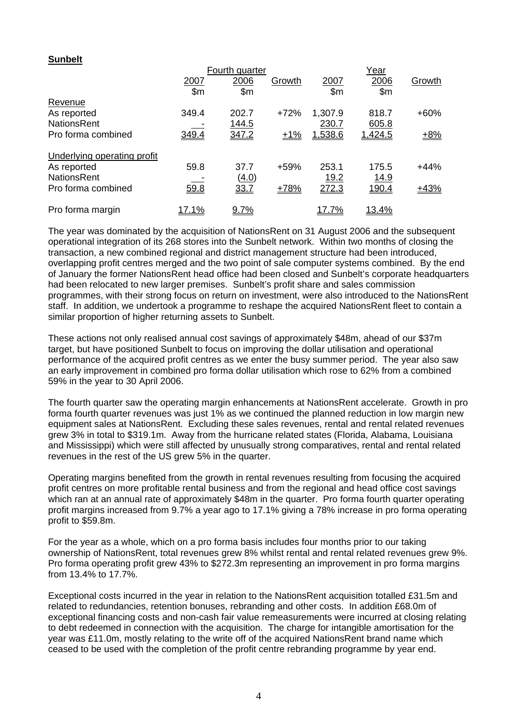## **Sunbelt**

|                                    |              | Fourth quarter |        |              | Year           |        |
|------------------------------------|--------------|----------------|--------|--------------|----------------|--------|
|                                    | 2007         | 2006           | Growth | 2007         | 2006           | Growth |
|                                    | \$m          | \$m            |        | $\mathsf{m}$ | $\mathsf{S}$ m |        |
| Revenue                            |              |                |        |              |                |        |
| As reported                        | 349.4        | 202.7          | $+72%$ | 1,307.9      | 818.7          | $+60%$ |
| <b>NationsRent</b>                 |              | <u>144.5</u>   |        | 230.7        | 605.8          |        |
| Pro forma combined                 | 349.4        | 347.2          | $+1\%$ | 1,538.6      | 1,424.5        | $+8\%$ |
| <b>Underlying operating profit</b> |              |                |        |              |                |        |
| As reported                        | 59.8         | 37.7           | $+59%$ | 253.1        | 175.5          | $+44%$ |
| <b>NationsRent</b>                 |              | (4.0)          |        | 19.2         | <u>14.9</u>    |        |
| Pro forma combined                 | 59.8         | 33.7           | $+78%$ | 272.3        | 190.4          | $+43%$ |
| Pro forma margin                   | <u>17.1%</u> | 9.7%           |        | <u>17.7%</u> | <u>13.4%</u>   |        |

The year was dominated by the acquisition of NationsRent on 31 August 2006 and the subsequent operational integration of its 268 stores into the Sunbelt network. Within two months of closing the transaction, a new combined regional and district management structure had been introduced, overlapping profit centres merged and the two point of sale computer systems combined. By the end of January the former NationsRent head office had been closed and Sunbelt's corporate headquarters had been relocated to new larger premises. Sunbelt's profit share and sales commission programmes, with their strong focus on return on investment, were also introduced to the NationsRent staff. In addition, we undertook a programme to reshape the acquired NationsRent fleet to contain a similar proportion of higher returning assets to Sunbelt.

These actions not only realised annual cost savings of approximately \$48m, ahead of our \$37m target, but have positioned Sunbelt to focus on improving the dollar utilisation and operational performance of the acquired profit centres as we enter the busy summer period. The year also saw an early improvement in combined pro forma dollar utilisation which rose to 62% from a combined 59% in the year to 30 April 2006.

The fourth quarter saw the operating margin enhancements at NationsRent accelerate. Growth in pro forma fourth quarter revenues was just 1% as we continued the planned reduction in low margin new equipment sales at NationsRent. Excluding these sales revenues, rental and rental related revenues grew 3% in total to \$319.1m. Away from the hurricane related states (Florida, Alabama, Louisiana and Mississippi) which were still affected by unusually strong comparatives, rental and rental related revenues in the rest of the US grew 5% in the quarter.

Operating margins benefited from the growth in rental revenues resulting from focusing the acquired profit centres on more profitable rental business and from the regional and head office cost savings which ran at an annual rate of approximately \$48m in the quarter. Pro forma fourth quarter operating profit margins increased from 9.7% a year ago to 17.1% giving a 78% increase in pro forma operating profit to \$59.8m.

For the year as a whole, which on a pro forma basis includes four months prior to our taking ownership of NationsRent, total revenues grew 8% whilst rental and rental related revenues grew 9%. Pro forma operating profit grew 43% to \$272.3m representing an improvement in pro forma margins from 13.4% to 17.7%.

Exceptional costs incurred in the year in relation to the NationsRent acquisition totalled £31.5m and related to redundancies, retention bonuses, rebranding and other costs. In addition £68.0m of exceptional financing costs and non-cash fair value remeasurements were incurred at closing relating to debt redeemed in connection with the acquisition. The charge for intangible amortisation for the year was £11.0m, mostly relating to the write off of the acquired NationsRent brand name which ceased to be used with the completion of the profit centre rebranding programme by year end.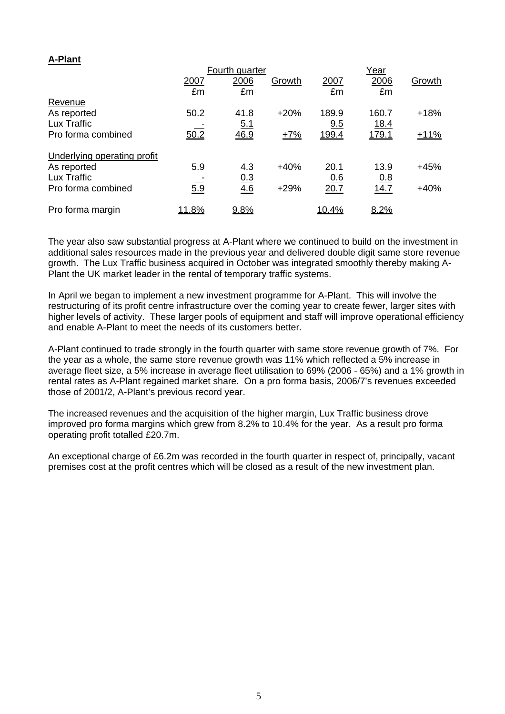## **A-Plant**

|                             | Fourth quarter |            |        |              |              |        |
|-----------------------------|----------------|------------|--------|--------------|--------------|--------|
|                             | 2007           | 2006       | Growth | 2007         | 2006         | Growth |
|                             | £m             | £m         |        | £m           | £m           |        |
| Revenue                     |                |            |        |              |              |        |
| As reported                 | 50.2           | 41.8       | $+20%$ | 189.9        | 160.7        | $+18%$ |
| Lux Traffic                 |                | <u>5.1</u> |        | 9.5          | <u>18.4</u>  |        |
| Pro forma combined          | 50.2           | 46.9       | $+7%$  | 199.4        | <u>179.1</u> | $+11%$ |
| Underlying operating profit |                |            |        |              |              |        |
| As reported                 | 5.9            | 4.3        | $+40%$ | 20.1         | 13.9         | $+45%$ |
| Lux Traffic                 |                | 0.3        |        | 0.6          | 0.8          |        |
| Pro forma combined          | 5.9            | 4.6        | $+29%$ | 20.7         | 14.7         | $+40%$ |
| Pro forma margin            | 11.8%          | 9.8%       |        | <u>10.4%</u> | 8.2%         |        |

The year also saw substantial progress at A-Plant where we continued to build on the investment in additional sales resources made in the previous year and delivered double digit same store revenue growth. The Lux Traffic business acquired in October was integrated smoothly thereby making A-Plant the UK market leader in the rental of temporary traffic systems.

In April we began to implement a new investment programme for A-Plant. This will involve the restructuring of its profit centre infrastructure over the coming year to create fewer, larger sites with higher levels of activity. These larger pools of equipment and staff will improve operational efficiency and enable A-Plant to meet the needs of its customers better.

A-Plant continued to trade strongly in the fourth quarter with same store revenue growth of 7%. For the year as a whole, the same store revenue growth was 11% which reflected a 5% increase in average fleet size, a 5% increase in average fleet utilisation to 69% (2006 - 65%) and a 1% growth in rental rates as A-Plant regained market share. On a pro forma basis, 2006/7's revenues exceeded those of 2001/2, A-Plant's previous record year.

The increased revenues and the acquisition of the higher margin, Lux Traffic business drove improved pro forma margins which grew from 8.2% to 10.4% for the year. As a result pro forma operating profit totalled £20.7m.

An exceptional charge of £6.2m was recorded in the fourth quarter in respect of, principally, vacant premises cost at the profit centres which will be closed as a result of the new investment plan.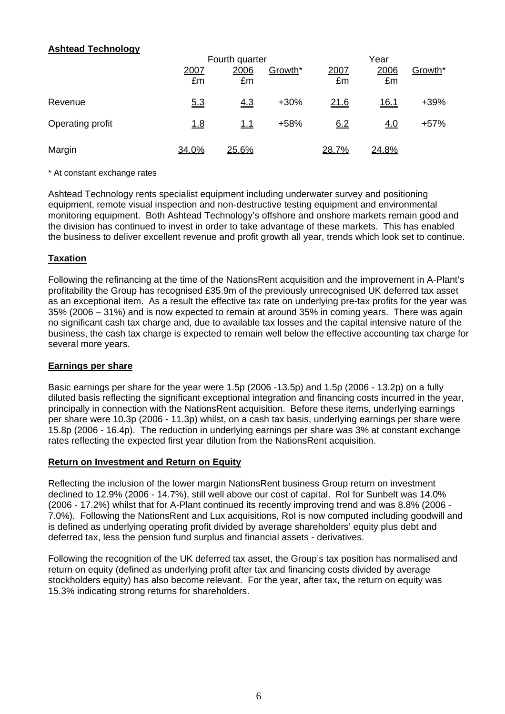## **Ashtead Technology**

|                  |            | Fourth quarter |         |            | Year              |         |  |
|------------------|------------|----------------|---------|------------|-------------------|---------|--|
|                  | 2007<br>£m | 2006<br>£m     | Growth* | 2007<br>£m | 2006<br>£m        | Growth* |  |
| Revenue          | 5.3        | 4.3            | $+30%$  | 21.6       | <u>16.1</u>       | +39%    |  |
| Operating profit | <u>1.8</u> | <u> 1.1</u>    | $+58%$  | 6.2        | $\underline{4.0}$ | $+57%$  |  |
| Margin           | 34.0%      | 25.6%          |         | 28.7%      | 24.8%             |         |  |

\* At constant exchange rates

Ashtead Technology rents specialist equipment including underwater survey and positioning equipment, remote visual inspection and non-destructive testing equipment and environmental monitoring equipment. Both Ashtead Technology's offshore and onshore markets remain good and the division has continued to invest in order to take advantage of these markets. This has enabled the business to deliver excellent revenue and profit growth all year, trends which look set to continue.

# **Taxation**

Following the refinancing at the time of the NationsRent acquisition and the improvement in A-Plant's profitability the Group has recognised £35.9m of the previously unrecognised UK deferred tax asset as an exceptional item. As a result the effective tax rate on underlying pre-tax profits for the year was 35% (2006 – 31%) and is now expected to remain at around 35% in coming years. There was again no significant cash tax charge and, due to available tax losses and the capital intensive nature of the business, the cash tax charge is expected to remain well below the effective accounting tax charge for several more years.

## **Earnings per share**

Basic earnings per share for the year were 1.5p (2006 -13.5p) and 1.5p (2006 - 13.2p) on a fully diluted basis reflecting the significant exceptional integration and financing costs incurred in the year, principally in connection with the NationsRent acquisition. Before these items, underlying earnings per share were 10.3p (2006 - 11.3p) whilst, on a cash tax basis, underlying earnings per share were 15.8p (2006 - 16.4p). The reduction in underlying earnings per share was 3% at constant exchange rates reflecting the expected first year dilution from the NationsRent acquisition.

## **Return on Investment and Return on Equity**

Reflecting the inclusion of the lower margin NationsRent business Group return on investment declined to 12.9% (2006 - 14.7%), still well above our cost of capital. RoI for Sunbelt was 14.0% (2006 - 17.2%) whilst that for A-Plant continued its recently improving trend and was 8.8% (2006 - 7.0%). Following the NationsRent and Lux acquisitions, RoI is now computed including goodwill and is defined as underlying operating profit divided by average shareholders' equity plus debt and deferred tax, less the pension fund surplus and financial assets - derivatives.

Following the recognition of the UK deferred tax asset, the Group's tax position has normalised and return on equity (defined as underlying profit after tax and financing costs divided by average stockholders equity) has also become relevant. For the year, after tax, the return on equity was 15.3% indicating strong returns for shareholders.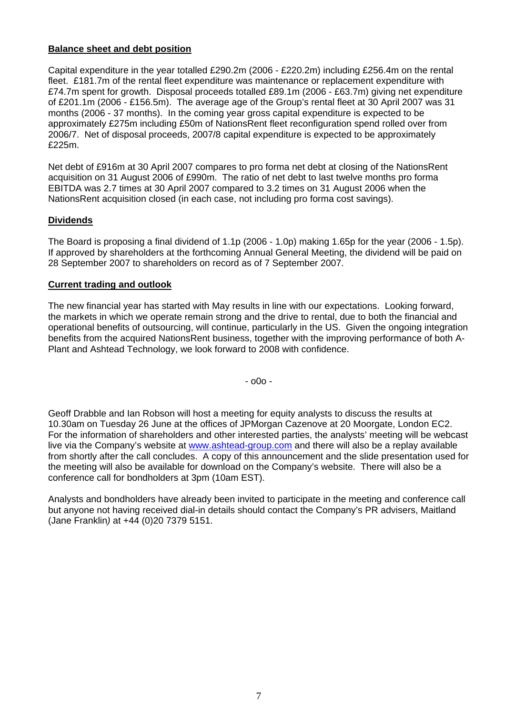## **Balance sheet and debt position**

Capital expenditure in the year totalled £290.2m (2006 - £220.2m) including £256.4m on the rental fleet. £181.7m of the rental fleet expenditure was maintenance or replacement expenditure with £74.7m spent for growth. Disposal proceeds totalled £89.1m (2006 - £63.7m) giving net expenditure of £201.1m (2006 - £156.5m). The average age of the Group's rental fleet at 30 April 2007 was 31 months (2006 - 37 months). In the coming year gross capital expenditure is expected to be approximately £275m including £50m of NationsRent fleet reconfiguration spend rolled over from 2006/7. Net of disposal proceeds, 2007/8 capital expenditure is expected to be approximately £225m.

Net debt of £916m at 30 April 2007 compares to pro forma net debt at closing of the NationsRent acquisition on 31 August 2006 of £990m. The ratio of net debt to last twelve months pro forma EBITDA was 2.7 times at 30 April 2007 compared to 3.2 times on 31 August 2006 when the NationsRent acquisition closed (in each case, not including pro forma cost savings).

## **Dividends**

The Board is proposing a final dividend of 1.1p (2006 - 1.0p) making 1.65p for the year (2006 - 1.5p). If approved by shareholders at the forthcoming Annual General Meeting, the dividend will be paid on 28 September 2007 to shareholders on record as of 7 September 2007.

## **Current trading and outlook**

The new financial year has started with May results in line with our expectations. Looking forward, the markets in which we operate remain strong and the drive to rental, due to both the financial and operational benefits of outsourcing, will continue, particularly in the US. Given the ongoing integration benefits from the acquired NationsRent business, together with the improving performance of both A-Plant and Ashtead Technology, we look forward to 2008 with confidence.

- o0o -

Geoff Drabble and Ian Robson will host a meeting for equity analysts to discuss the results at 10.30am on Tuesday 26 June at the offices of JPMorgan Cazenove at 20 Moorgate, London EC2. For the information of shareholders and other interested parties, the analysts' meeting will be webcast live via the Company's website at [www.ashtead-group.com](http://www.ashtead-group.com/) and there will also be a replay available from shortly after the call concludes. A copy of this announcement and the slide presentation used for the meeting will also be available for download on the Company's website. There will also be a conference call for bondholders at 3pm (10am EST).

Analysts and bondholders have already been invited to participate in the meeting and conference call but anyone not having received dial-in details should contact the Company's PR advisers, Maitland (Jane Franklin*)* at +44 (0)20 7379 5151.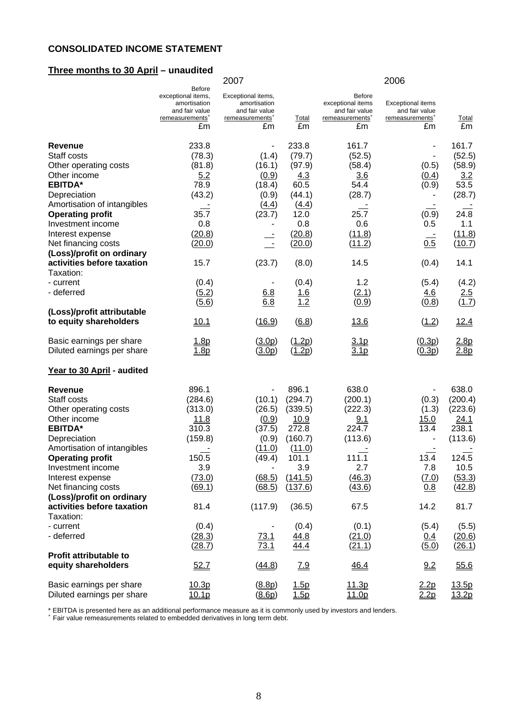#### **CONSOLIDATED INCOME STATEMENT**

# **Three months to 30 April – unaudited**

|                                                                                                                                                                                                                                                                                                                         |                                                                                                            | 2007                                                                                                 |                                                                                                                  |                                                                                                      | 2006                                                                            |                                                                                                        |
|-------------------------------------------------------------------------------------------------------------------------------------------------------------------------------------------------------------------------------------------------------------------------------------------------------------------------|------------------------------------------------------------------------------------------------------------|------------------------------------------------------------------------------------------------------|------------------------------------------------------------------------------------------------------------------|------------------------------------------------------------------------------------------------------|---------------------------------------------------------------------------------|--------------------------------------------------------------------------------------------------------|
|                                                                                                                                                                                                                                                                                                                         | <b>Before</b><br>exceptional items,<br>amortisation<br>and fair value<br>remeasurements <sup>+</sup><br>£m | Exceptional items,<br>amortisation<br>and fair value<br>remeasurements <sup>+</sup><br>£m            | Total<br>£m                                                                                                      | Before<br>exceptional items<br>and fair value<br>remeasurements <sup>+</sup><br>£m                   | <b>Exceptional items</b><br>and fair value<br>remeasurements <sup>+</sup><br>£m | <b>Total</b><br>£m                                                                                     |
| <b>Revenue</b><br>Staff costs<br>Other operating costs<br>Other income<br><b>EBITDA*</b><br>Depreciation<br>Amortisation of intangibles<br><b>Operating profit</b><br>Investment income<br>Interest expense<br>Net financing costs<br>(Loss)/profit on ordinary<br>activities before taxation<br>Taxation:<br>- current | 233.8<br>(78.3)<br>(81.8)<br>5.2<br>78.9<br>(43.2)<br>35.7<br>0.8<br>(20.8)<br>(20.0)<br>15.7<br>(0.4)     | (1.4)<br>(16.1)<br>(0.9)<br>(18.4)<br>(0.9)<br>(4.4)<br>(23.7)<br>$\overline{\phantom{a}}$<br>(23.7) | 233.8<br>(79.7)<br>(97.9)<br>4.3<br>60.5<br>(44.1)<br>(4.4)<br>12.0<br>0.8<br>(20.8)<br>(20.0)<br>(8.0)<br>(0.4) | 161.7<br>(52.5)<br>(58.4)<br>3.6<br>54.4<br>(28.7)<br>25.7<br>0.6<br>(11.8)<br>(11.2)<br>14.5<br>1.2 | (0.5)<br>(0.4)<br>(0.9)<br>(0.9)<br>0.5<br>0.5<br>(0.4)<br>(5.4)                | 161.7<br>(52.5)<br>(58.9)<br>3.2<br>53.5<br>(28.7)<br>24.8<br>1.1<br>(11.8)<br>(10.7)<br>14.1<br>(4.2) |
| - deferred<br>(Loss)/profit attributable<br>to equity shareholders                                                                                                                                                                                                                                                      | (5.2)<br>(5.6)<br>10.1                                                                                     | 6.8<br>6.8<br>(16.9)                                                                                 | 1.6<br>1.2<br>(6.8)                                                                                              | (2.1)<br>(0.9)<br><u>13.6</u>                                                                        | 4.6<br>(0.8)<br>(1.2)                                                           | 2.5<br>(1.7)<br>12.4                                                                                   |
| Basic earnings per share<br>Diluted earnings per share                                                                                                                                                                                                                                                                  | 1.8p<br><u>1.8p</u>                                                                                        | (3.0p)<br><u>(3.0p)</u>                                                                              | (1.2p)<br>(1.2p)                                                                                                 | 3.1p<br>3.1 <sub>p</sub>                                                                             | (0.3p)<br>(0.3p)                                                                | 2.8p<br>2.8p                                                                                           |
| Year to 30 April - audited                                                                                                                                                                                                                                                                                              |                                                                                                            |                                                                                                      |                                                                                                                  |                                                                                                      |                                                                                 |                                                                                                        |
| <b>Revenue</b><br>Staff costs<br>Other operating costs<br>Other income<br><b>EBITDA*</b><br>Depreciation<br>Amortisation of intangibles<br><b>Operating profit</b><br>Investment income<br>Interest expense<br>Net financing costs<br>(Loss)/profit on ordinary                                                         | 896.1<br>(284.6)<br>(313.0)<br>11.8<br>310.3<br>(159.8)<br>150.5<br>3.9<br>(73.0)<br>(69.1)                | (10.1)<br>(26.5)<br>(0.9)<br>(37.5)<br>(0.9)<br>(11.0)<br>(49.4)<br>(68.5)<br>(68.5)                 | 896.1<br>(294.7)<br>(339.5)<br>10.9<br>272.8<br>(160.7)<br>(11.0)<br>101.1<br>3.9<br>(141.5)<br>(137.6)          | 638.0<br>(200.1)<br>(222.3)<br>9.1<br>224.7<br>(113.6)<br>111.1<br>2.7<br>(46.3)<br>(43.6)           | (0.3)<br>(1.3)<br><u> 15.0</u><br>13.4<br>13.4<br>7.8<br>(7.0)<br>0.8           | 638.0<br>(200.4)<br>(223.6)<br><u>24.1</u><br>238.1<br>(113.6)<br>124.5<br>10.5<br>(53.3)<br>(42.8)    |
| activities before taxation<br>Taxation:                                                                                                                                                                                                                                                                                 | 81.4                                                                                                       | (117.9)                                                                                              | (36.5)                                                                                                           | 67.5                                                                                                 | 14.2                                                                            | 81.7                                                                                                   |
| - current<br>- deferred                                                                                                                                                                                                                                                                                                 | (0.4)<br>(28.3)<br><u>(28.7)</u>                                                                           | 73.1<br>73.1                                                                                         | (0.4)<br>44.8<br><u>44.4</u>                                                                                     | (0.1)<br>(21.0)<br>(21.1)                                                                            | (5.4)<br>0.4<br>(5.0)                                                           | (5.5)<br>(20.6)<br>(26.1)                                                                              |
| <b>Profit attributable to</b><br>equity shareholders                                                                                                                                                                                                                                                                    | 52.7                                                                                                       | (44.8)                                                                                               | 7.9                                                                                                              | 46.4                                                                                                 | 9.2                                                                             | 55.6                                                                                                   |
| Basic earnings per share<br>Diluted earnings per share                                                                                                                                                                                                                                                                  | 10.3p<br>10.1 <sub>p</sub>                                                                                 | (8.8p)<br>(8.6p)                                                                                     | 1.5p<br>1.5p                                                                                                     | 11.3p<br>11.0p                                                                                       | 2.2p<br>2.2p                                                                    | 13.5p<br><u>13.2p</u>                                                                                  |

\* EBITDA is presented here as an additional performance measure as it is commonly used by investors and lenders.<br>+ Fair value remeasurements related to embedded derivatives in long term debt.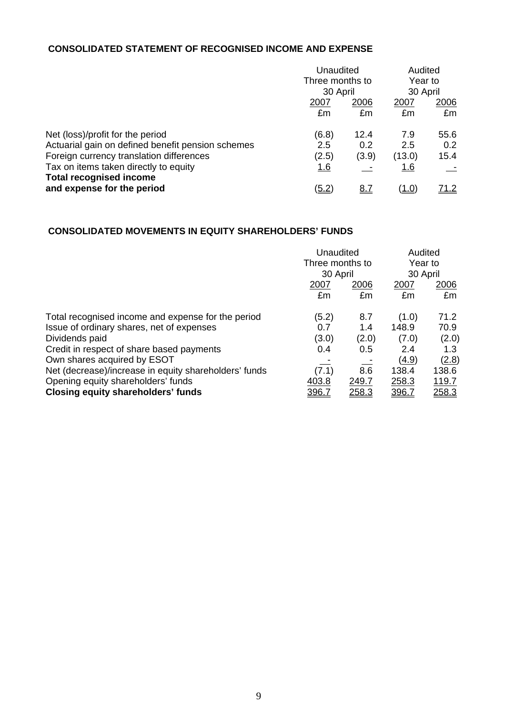# **CONSOLIDATED STATEMENT OF RECOGNISED INCOME AND EXPENSE**

|                                                   | Unaudited       |       | Audited             |             |
|---------------------------------------------------|-----------------|-------|---------------------|-------------|
|                                                   | Three months to |       | Year to<br>30 April |             |
|                                                   | 30 April        |       |                     |             |
|                                                   | 2007            | 2006  | 2007                | 2006        |
|                                                   | £m              | £m    | £m                  | £m          |
| Net (loss)/profit for the period                  | (6.8)           | 12.4  | 7.9                 | 55.6        |
| Actuarial gain on defined benefit pension schemes | 2.5             | 0.2   | 2.5                 | 0.2         |
| Foreign currency translation differences          | (2.5)           | (3.9) | (13.0)              | 15.4        |
| Tax on items taken directly to equity             | <u>1.6</u>      |       | <u> 1.6</u>         |             |
| <b>Total recognised income</b>                    |                 |       |                     |             |
| and expense for the period                        | (5.2)           | 8.7   | ( <u>1.0</u> )      | <u>71.2</u> |

# **CONSOLIDATED MOVEMENTS IN EQUITY SHAREHOLDERS' FUNDS**

|                                                       | Unaudited<br>Three months to |       | Audited<br>Year to |               |
|-------------------------------------------------------|------------------------------|-------|--------------------|---------------|
|                                                       |                              |       |                    |               |
|                                                       | 30 April                     |       | 30 April           |               |
|                                                       | 2007                         | 2006  | 2007               | 2006          |
|                                                       | £m                           | £m    | £m                 | £m            |
| Total recognised income and expense for the period    | (5.2)                        | 8.7   | (1.0)              | 71.2          |
| Issue of ordinary shares, net of expenses             | 0.7                          | 1.4   | 148.9              | 70.9          |
| Dividends paid                                        | (3.0)                        | (2.0) | (7.0)              | (2.0)         |
| Credit in respect of share based payments             | 0.4                          | 0.5   | 2.4                | 1.3           |
| Own shares acquired by ESOT                           |                              |       | (4.9)              | <u>(2.8)</u>  |
| Net (decrease)/increase in equity shareholders' funds | (7.1)                        | 8.6   | 138.4              | 138.6         |
| Opening equity shareholders' funds                    | 403.8                        | 249.7 | 258.3              | 119.7         |
| <b>Closing equity shareholders' funds</b>             | 396.7                        | 258.3 | 396.7              | <u> 258.3</u> |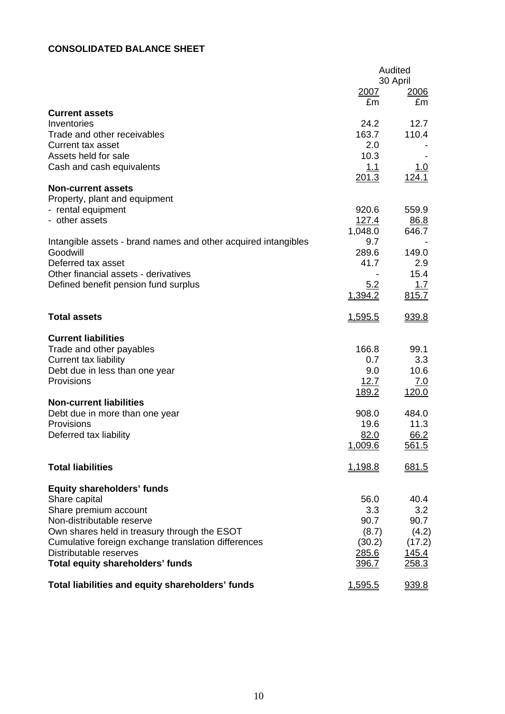## **CONSOLIDATED BALANCE SHEET**

|                                                                |                | Audited                  |
|----------------------------------------------------------------|----------------|--------------------------|
|                                                                | 2007           | 30 April<br><u> 2006</u> |
|                                                                | £m             | £m                       |
| <b>Current assets</b>                                          |                |                          |
| Inventories                                                    | 24.2           | 12.7                     |
| Trade and other receivables                                    | 163.7          | 110.4                    |
| <b>Current tax asset</b>                                       | 2.0            |                          |
| Assets held for sale                                           | 10.3           |                          |
| Cash and cash equivalents                                      | <u>1.1</u>     | 1.0                      |
| <b>Non-current assets</b>                                      | 201.3          | 124.1                    |
| Property, plant and equipment                                  |                |                          |
| - rental equipment                                             | 920.6          | 559.9                    |
| - other assets                                                 | 127.4          | 86.8                     |
|                                                                | 1,048.0        | 646.7                    |
| Intangible assets - brand names and other acquired intangibles | 9.7            |                          |
| Goodwill                                                       | 289.6          | 149.0                    |
| Deferred tax asset                                             | 41.7           | 2.9                      |
| Other financial assets - derivatives                           |                | 15.4                     |
| Defined benefit pension fund surplus                           | 5.2            | <u> 1.7</u>              |
|                                                                | 1,394.2        | 815.7                    |
| <b>Total assets</b>                                            | <u>1,595.5</u> | 939.8                    |
|                                                                |                |                          |
| <b>Current liabilities</b>                                     |                |                          |
| Trade and other payables                                       | 166.8          | 99.1                     |
| <b>Current tax liability</b>                                   | 0.7<br>9.0     | 3.3<br>10.6              |
| Debt due in less than one year<br>Provisions                   | 12.7           | 7.0                      |
|                                                                | 189.2          | 120.0                    |
| <b>Non-current liabilities</b>                                 |                |                          |
| Debt due in more than one year                                 | 908.0          | 484.0                    |
| Provisions                                                     | 19.6           | 11.3                     |
| Deferred tax liability                                         | 82.0           | 66.2                     |
|                                                                | 1,009.6        | 561.5                    |
| <b>Total liabilities</b>                                       | 1,198.8        | 681.5                    |
| <b>Equity shareholders' funds</b>                              |                |                          |
| Share capital                                                  | 56.0           | 40.4                     |
| Share premium account                                          | 3.3            | 3.2                      |
| Non-distributable reserve                                      | 90.7           | 90.7                     |
| Own shares held in treasury through the ESOT                   | (8.7)          | (4.2)                    |
| Cumulative foreign exchange translation differences            | (30.2)         | (17.2)                   |
| Distributable reserves                                         | 285.6          | 145.4                    |
| <b>Total equity shareholders' funds</b>                        | 396.7          | 258.3                    |
| Total liabilities and equity shareholders' funds               | <u>1,595.5</u> | <u>939.8</u>             |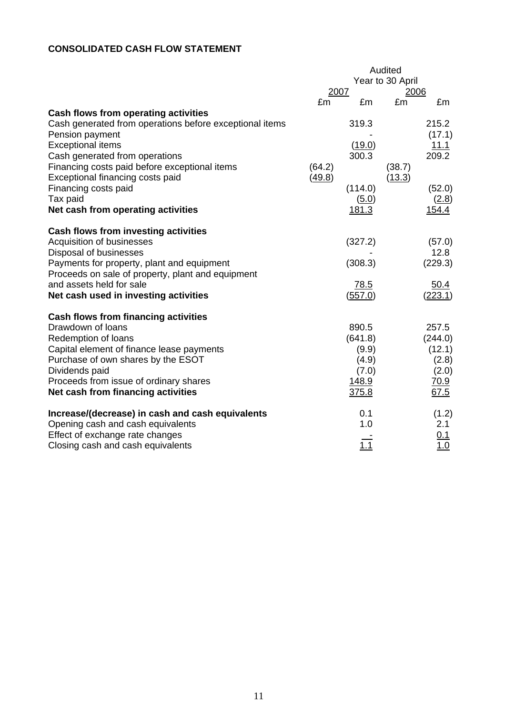# **CONSOLIDATED CASH FLOW STATEMENT**

|                                                                      | Audited                  |                  |        |                  |
|----------------------------------------------------------------------|--------------------------|------------------|--------|------------------|
|                                                                      | Year to 30 April<br>2007 |                  | 2006   |                  |
|                                                                      | £m                       | £m               | £m     | £m               |
| <b>Cash flows from operating activities</b>                          |                          |                  |        |                  |
| Cash generated from operations before exceptional items              |                          | 319.3            |        | 215.2            |
| Pension payment                                                      |                          |                  |        | (17.1)           |
| <b>Exceptional items</b>                                             |                          | (19.0)           |        | 11.1             |
| Cash generated from operations                                       |                          | 300.3            |        | 209.2            |
| Financing costs paid before exceptional items                        | (64.2)<br>(49.8)         |                  | (38.7) |                  |
| Exceptional financing costs paid<br>Financing costs paid             |                          | (114.0)          | (13.3) | (52.0)           |
| Tax paid                                                             |                          | (5.0)            |        | (2.8)            |
| Net cash from operating activities                                   |                          | <u>181.3</u>     |        | <u>154.4</u>     |
|                                                                      |                          |                  |        |                  |
| <b>Cash flows from investing activities</b>                          |                          |                  |        |                  |
| Acquisition of businesses                                            |                          | (327.2)          |        | (57.0)           |
| Disposal of businesses<br>Payments for property, plant and equipment |                          | (308.3)          |        | 12.8<br>(229.3)  |
| Proceeds on sale of property, plant and equipment                    |                          |                  |        |                  |
| and assets held for sale                                             |                          | 78.5             |        | 50.4             |
| Net cash used in investing activities                                |                          | (557.0)          |        | (223.1)          |
|                                                                      |                          |                  |        |                  |
| <b>Cash flows from financing activities</b>                          |                          |                  |        |                  |
| Drawdown of loans<br>Redemption of loans                             |                          | 890.5<br>(641.8) |        | 257.5<br>(244.0) |
| Capital element of finance lease payments                            |                          | (9.9)            |        | (12.1)           |
| Purchase of own shares by the ESOT                                   |                          | (4.9)            |        | (2.8)            |
| Dividends paid                                                       |                          | (7.0)            |        | (2.0)            |
| Proceeds from issue of ordinary shares                               |                          | <u>148.9</u>     |        | 70.9             |
| Net cash from financing activities                                   |                          | 375.8            |        | 67.5             |
| Increase/(decrease) in cash and cash equivalents                     |                          | 0.1              |        | (1.2)            |
| Opening cash and cash equivalents                                    |                          | 1.0              |        | 2.1              |
| Effect of exchange rate changes                                      |                          |                  |        | 0.1              |
| Closing cash and cash equivalents                                    |                          | 1.1              |        | $\overline{1.0}$ |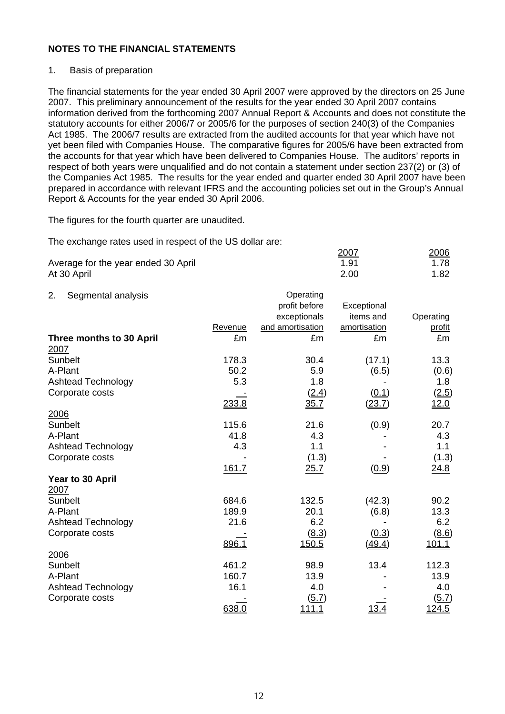## 1. Basis of preparation

The financial statements for the year ended 30 April 2007 were approved by the directors on 25 June 2007. This preliminary announcement of the results for the year ended 30 April 2007 contains information derived from the forthcoming 2007 Annual Report & Accounts and does not constitute the statutory accounts for either 2006/7 or 2005/6 for the purposes of section 240(3) of the Companies Act 1985. The 2006/7 results are extracted from the audited accounts for that year which have not yet been filed with Companies House. The comparative figures for 2005/6 have been extracted from the accounts for that year which have been delivered to Companies House. The auditors' reports in respect of both years were unqualified and do not contain a statement under section 237(2) or (3) of the Companies Act 1985. The results for the year ended and quarter ended 30 April 2007 have been prepared in accordance with relevant IFRS and the accounting policies set out in the Group's Annual Report & Accounts for the year ended 30 April 2006.

The figures for the fourth quarter are unaudited.

The exchange rates used in respect of the US dollar are:

|                                     | 2007 | 2006 |
|-------------------------------------|------|------|
| Average for the year ended 30 April | 1.91 | 1.78 |
| At 30 April                         | 2.00 | 1.82 |

| 2.<br>Segmental analysis  |         | Operating        |              |              |
|---------------------------|---------|------------------|--------------|--------------|
|                           |         | profit before    | Exceptional  |              |
|                           |         | exceptionals     | items and    | Operating    |
|                           | Revenue | and amortisation | amortisation | profit       |
| Three months to 30 April  | £m      | £m               | £m           | £m           |
| <u>2007</u>               |         |                  |              |              |
| Sunbelt                   | 178.3   | 30.4             | (17.1)       | 13.3         |
| A-Plant                   | 50.2    | 5.9              | (6.5)        | (0.6)        |
| <b>Ashtead Technology</b> | 5.3     | 1.8              |              | 1.8          |
| Corporate costs           |         | (2.4)            | (0.1)        | (2.5)        |
|                           | 233.8   | 35.7             | (23.7)       | 12.0         |
| 2006                      |         |                  |              |              |
| Sunbelt                   | 115.6   | 21.6             | (0.9)        | 20.7         |
| A-Plant                   | 41.8    | 4.3              |              | 4.3          |
| <b>Ashtead Technology</b> | 4.3     | 1.1              |              | 1.1          |
| Corporate costs           |         | (1.3)            |              | (1.3)        |
|                           | 161.7   | 25.7             | (0.9)        | 24.8         |
| Year to 30 April          |         |                  |              |              |
| 2007                      |         |                  |              |              |
| Sunbelt                   | 684.6   | 132.5            | (42.3)       | 90.2         |
| A-Plant                   | 189.9   | 20.1             | (6.8)        | 13.3         |
| Ashtead Technology        | 21.6    | 6.2              |              | 6.2          |
| Corporate costs           |         | (8.3)            | (0.3)        | (8.6)        |
|                           | 896.1   | <u>150.5</u>     | (49.4)       | <u>101.1</u> |
| 2006                      |         |                  |              |              |
| Sunbelt                   | 461.2   | 98.9             | 13.4         | 112.3        |
| A-Plant                   | 160.7   | 13.9             |              | 13.9         |
| <b>Ashtead Technology</b> | 16.1    | 4.0              |              | 4.0          |
| Corporate costs           |         | (5.7)            |              | (5.7)        |
|                           | 638.0   | <u> 111.1</u>    | 13.4         | 124.5        |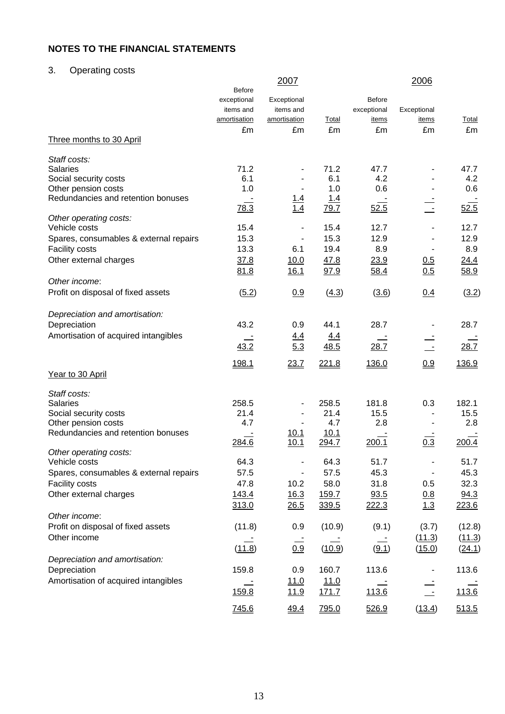# 3. Operating costs

|                                        | <b>Before</b> | 2007         |              |               | 2006         |              |
|----------------------------------------|---------------|--------------|--------------|---------------|--------------|--------------|
|                                        | exceptional   | Exceptional  |              | <b>Before</b> |              |              |
|                                        | items and     | items and    |              | exceptional   | Exceptional  |              |
|                                        | amortisation  | amortisation | <b>Total</b> | <u>items</u>  | <u>items</u> | <b>Total</b> |
|                                        | £m            | £m           | £m           | £m            | £m           | £m           |
| Three months to 30 April               |               |              |              |               |              |              |
| Staff costs:                           |               |              |              |               |              |              |
| <b>Salaries</b>                        | 71.2          |              | 71.2         | 47.7          |              | 47.7         |
| Social security costs                  | 6.1           |              | 6.1          | 4.2           |              | 4.2          |
| Other pension costs                    | 1.0           |              | 1.0          | 0.6           |              | 0.6          |
| Redundancies and retention bonuses     |               | <u>1.4</u>   | 1.4          |               |              |              |
|                                        | 78.3          | 1.4          | 79.7         | 52.5          |              | 52.5         |
| Other operating costs:                 |               |              |              |               |              |              |
| Vehicle costs                          | 15.4          |              | 15.4         | 12.7          |              | 12.7         |
| Spares, consumables & external repairs | 15.3          |              | 15.3         | 12.9          |              | 12.9         |
| <b>Facility costs</b>                  | 13.3          | 6.1          | 19.4         | 8.9           |              | 8.9          |
| Other external charges                 | 37.8          | 10.0         | 47.8         | 23.9          | 0.5          | <u>24.4</u>  |
|                                        | 81.8          | <u>16.1</u>  | 97.9         | 58.4          | 0.5          | 58.9         |
| Other income:                          |               |              |              |               |              |              |
| Profit on disposal of fixed assets     | (5.2)         | 0.9          | (4.3)        | (3.6)         | 0.4          | (3.2)        |
| Depreciation and amortisation:         |               |              |              |               |              |              |
| Depreciation                           | 43.2          | 0.9          | 44.1         | 28.7          |              | 28.7         |
| Amortisation of acquired intangibles   |               | <u>4.4</u>   | 4.4          |               |              |              |
|                                        | 43.2          | 5.3          | 48.5         | 28.7          |              | 28.7         |
|                                        | 198.1         | 23.7         | 221.8        | 136.0         | 0.9          | 136.9        |
| Year to 30 April                       |               |              |              |               |              |              |
| Staff costs:                           |               |              |              |               |              |              |
| <b>Salaries</b>                        | 258.5         |              | 258.5        | 181.8         | 0.3          | 182.1        |
| Social security costs                  | 21.4          |              | 21.4         | 15.5          |              | 15.5         |
| Other pension costs                    | 4.7           |              | 4.7          | 2.8           |              | 2.8          |
| Redundancies and retention bonuses     |               | <u> 10.1</u> | 10.1         |               |              |              |
|                                        | 284.6         | 10.1         | 294.7        | 200.1         | 0.3          | 200.4        |
| Other operating costs:                 |               |              |              |               |              |              |
| Vehicle costs                          | 64.3          | ۰            | 64.3         | 51.7          |              | 51.7         |
| Spares, consumables & external repairs | 57.5          |              | 57.5         | 45.3          |              | 45.3         |
| <b>Facility costs</b>                  | 47.8          | 10.2         | 58.0         | 31.8          | 0.5          | 32.3         |
| Other external charges                 | 143.4         | 16.3         | 159.7        | 93.5          | 0.8          | 94.3         |
|                                        | 313.0         | 26.5         | 339.5        | 222.3         | 1.3          | 223.6        |
| Other income:                          |               |              |              |               |              |              |
| Profit on disposal of fixed assets     | (11.8)        | 0.9          | (10.9)       | (9.1)         | (3.7)        | (12.8)       |
| Other income                           |               |              |              |               | (11.3)       | (11.3)       |
|                                        |               |              |              | (9.1)         |              |              |
|                                        | (11.8)        | 0.9          | (10.9)       |               | (15.0)       | (24.1)       |
| Depreciation and amortisation:         |               |              |              |               |              |              |
| Depreciation                           | 159.8         | 0.9          | 160.7        | 113.6         |              | 113.6        |
| Amortisation of acquired intangibles   |               | 11.0         | 11.0         |               |              |              |
|                                        | 159.8         | <u>11.9</u>  | <u>171.7</u> | 113.6         |              | 113.6        |
|                                        | 745.6         | 49.4         | 795.0        | 526.9         | (13.4)       | 513.5        |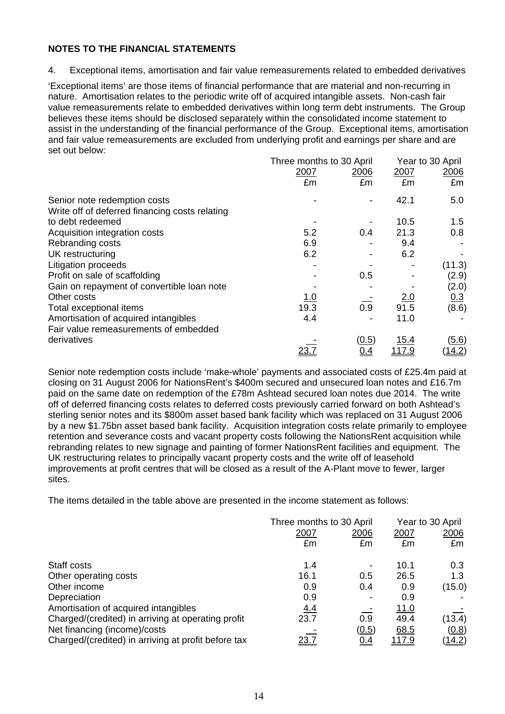4. Exceptional items, amortisation and fair value remeasurements related to embedded derivatives

'Exceptional items' are those items of financial performance that are material and non-recurring in nature. Amortisation relates to the periodic write off of acquired intangible assets. Non-cash fair value remeasurements relate to embedded derivatives within long term debt instruments. The Group believes these items should be disclosed separately within the consolidated income statement to assist in the understanding of the financial performance of the Group.Exceptional items, amortisation and fair value remeasurements are excluded from underlying profit and earnings per share and are set out below:  $T$  to 30 April Xear to 30 April 19

|                                                | Three months to 30 April |       | Year to 30 April |             |  |
|------------------------------------------------|--------------------------|-------|------------------|-------------|--|
|                                                | 2007<br>2006             |       | 2007             | <u>2006</u> |  |
|                                                | £m                       | £m    | £m               | £m          |  |
| Senior note redemption costs                   |                          |       | 42.1             | 5.0         |  |
| Write off of deferred financing costs relating |                          |       |                  |             |  |
| to debt redeemed                               |                          |       | 10.5             | 1.5         |  |
| Acquisition integration costs                  | 5.2                      | 0.4   | 21.3             | 0.8         |  |
| Rebranding costs                               | 6.9                      |       | 9.4              |             |  |
| UK restructuring                               | 6.2                      |       | 6.2              |             |  |
| <b>Litigation proceeds</b>                     |                          |       |                  | (11.3)      |  |
| Profit on sale of scaffolding                  |                          | 0.5   |                  | (2.9)       |  |
| Gain on repayment of convertible loan note     |                          |       |                  | (2.0)       |  |
| Other costs                                    | <u>1.0</u>               |       | 2.0              | 0.3         |  |
| Total exceptional items                        | 19.3                     | 0.9   | 91.5             | (8.6)       |  |
| Amortisation of acquired intangibles           | 4.4                      |       | 11.0             |             |  |
| Fair value remeasurements of embedded          |                          |       |                  |             |  |
| derivatives                                    |                          | (0.5) | 15.4             | (5.6)       |  |
|                                                | <u>23. </u>              | 0.4   | 117.9            | (14.2)      |  |

Senior note redemption costs include 'make-whole' payments and associated costs of £25.4m paid at closing on 31 August 2006 for NationsRent's \$400m secured and unsecured loan notes and £16.7m paid on the same date on redemption of the £78m Ashtead secured loan notes due 2014. The write off of deferred financing costs relates to deferred costs previously carried forward on both Ashtead's sterling senior notes and its \$800m asset based bank facility which was replaced on 31 August 2006 by a new \$1.75bn asset based bank facility. Acquisition integration costs relate primarily to employee retention and severance costs and vacant property costs following the NationsRent acquisition while rebranding relates to new signage and painting of former NationsRent facilities and equipment. The UK restructuring relates to principally vacant property costs and the write off of leasehold improvements at profit centres that will be closed as a result of the A-Plant move to fewer, larger sites.

The items detailed in the table above are presented in the income statement as follows:

|                                                     | Three months to 30 April | Year to 30 April |               |                  |  |
|-----------------------------------------------------|--------------------------|------------------|---------------|------------------|--|
|                                                     | 2007<br>2006             |                  | 2007          | <u> 2006</u>     |  |
|                                                     | £m                       | £m               | £m            | £m               |  |
| Staff costs                                         | 1.4                      |                  | 10.1          | 0.3 <sub>1</sub> |  |
| Other operating costs                               | 16.1                     | 0.5              | 26.5          | 1.3              |  |
| Other income                                        | 0.9                      | 0.4              | 0.9           | (15.0)           |  |
| Depreciation                                        | 0.9                      |                  | 0.9           |                  |  |
| Amortisation of acquired intangibles                | <u>4.4</u>               |                  | <u>11.0</u>   |                  |  |
| Charged/(credited) in arriving at operating profit  | 23.7                     | 0.9              | 49.4          | (13.4)           |  |
| Net financing (income)/costs                        |                          | (0.5)            | 68.5          | (0.8)            |  |
| Charged/(credited) in arriving at profit before tax | <u>23.7</u>              | <u>0.4</u>       | <u> 117.9</u> | <u>(14.2)</u>    |  |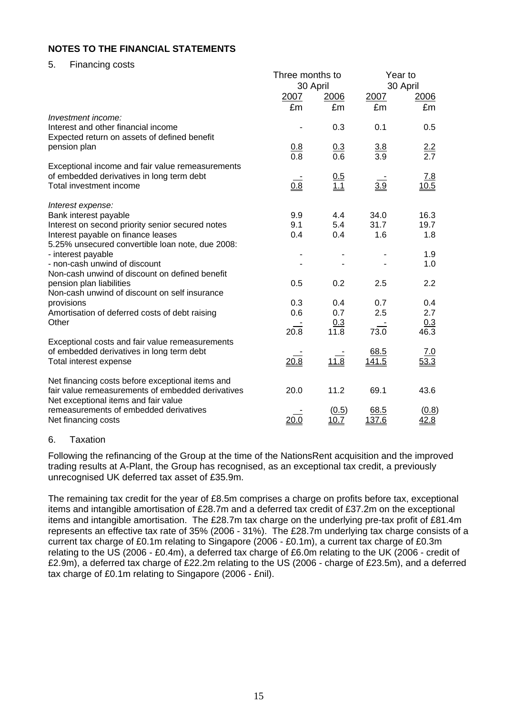#### 5. Financing costs

|                                                                                                           | Three months to<br>30 April |                   | Year to<br>30 April |                    |
|-----------------------------------------------------------------------------------------------------------|-----------------------------|-------------------|---------------------|--------------------|
|                                                                                                           | 2007                        | 2006              | 2007                | <u>2006</u>        |
|                                                                                                           | £m                          | £m                | £m                  | £m                 |
| Investment income:<br>Interest and other financial income<br>Expected return on assets of defined benefit |                             | 0.3               | 0.1                 | 0.5                |
| pension plan                                                                                              | 0.8<br>0.8                  | 0.3<br>0.6        | $\frac{3.8}{3.9}$   | $\frac{2.2}{2.7}$  |
| Exceptional income and fair value remeasurements                                                          |                             |                   |                     |                    |
| of embedded derivatives in long term debt<br>Total investment income                                      | 0.8                         | $\frac{0.5}{1.1}$ | 3.9                 | 7.8<br>10.5        |
| Interest expense:                                                                                         |                             |                   |                     |                    |
| Bank interest payable                                                                                     | 9.9                         | 4.4               | 34.0                | 16.3               |
| Interest on second priority senior secured notes                                                          | 9.1                         | 5.4               | 31.7                | 19.7               |
| Interest payable on finance leases<br>5.25% unsecured convertible loan note, due 2008:                    | 0.4                         | 0.4               | 1.6                 | 1.8                |
| - interest payable                                                                                        |                             |                   |                     | 1.9                |
| - non-cash unwind of discount<br>Non-cash unwind of discount on defined benefit                           |                             |                   |                     | 1.0                |
| pension plan liabilities<br>Non-cash unwind of discount on self insurance                                 | 0.5                         | 0.2               | 2.5                 | 2.2                |
| provisions                                                                                                | 0.3                         | 0.4               | 0.7                 | 0.4                |
| Amortisation of deferred costs of debt raising                                                            | 0.6                         | 0.7               | 2.5                 | 2.7                |
| Other                                                                                                     | 20.8                        | 0.3<br>11.8       | 73.0                | 0.3<br>46.3        |
| Exceptional costs and fair value remeasurements                                                           |                             |                   |                     |                    |
| of embedded derivatives in long term debt<br>Total interest expense                                       | 20.8                        | 11.8              | 68.5<br>141.5       | <u>7.0</u><br>53.3 |
| Net financing costs before exceptional items and                                                          |                             |                   |                     |                    |
| fair value remeasurements of embedded derivatives<br>Net exceptional items and fair value                 | 20.0                        | 11.2              | 69.1                | 43.6               |
| remeasurements of embedded derivatives                                                                    |                             | (0.5)             | 68.5                | (0.8)              |
| Net financing costs                                                                                       | 20.0                        | 10.7              | 137.6               | 42.8               |

#### 6. Taxation

Following the refinancing of the Group at the time of the NationsRent acquisition and the improved trading results at A-Plant, the Group has recognised, as an exceptional tax credit, a previously unrecognised UK deferred tax asset of £35.9m.

The remaining tax credit for the year of £8.5m comprises a charge on profits before tax, exceptional items and intangible amortisation of £28.7m and a deferred tax credit of £37.2m on the exceptional items and intangible amortisation. The £28.7m tax charge on the underlying pre-tax profit of £81.4m represents an effective tax rate of 35% (2006 - 31%). The £28.7m underlying tax charge consists of a current tax charge of £0.1m relating to Singapore (2006 - £0.1m), a current tax charge of £0.3m relating to the US (2006 - £0.4m), a deferred tax charge of £6.0m relating to the UK (2006 - credit of £2.9m), a deferred tax charge of £22.2m relating to the US (2006 - charge of £23.5m), and a deferred tax charge of £0.1m relating to Singapore (2006 - £nil).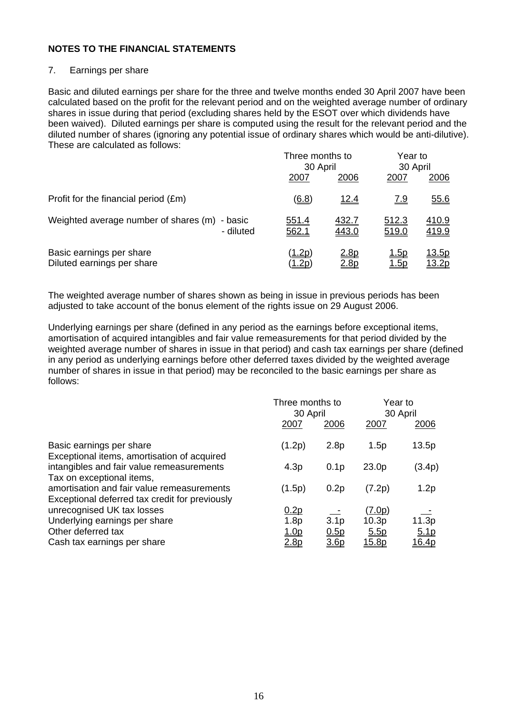## 7. Earnings per share

Basic and diluted earnings per share for the three and twelve months ended 30 April 2007 have been calculated based on the profit for the relevant period and on the weighted average number of ordinary shares in issue during that period (excluding shares held by the ESOT over which dividends have been waived). Diluted earnings per share is computed using the result for the relevant period and the diluted number of shares (ignoring any potential issue of ordinary shares which would be anti-dilutive). These are calculated as follows:

|                                                            | Three months to<br>30 April   |                       |                             | Year to<br>30 April    |  |
|------------------------------------------------------------|-------------------------------|-----------------------|-----------------------------|------------------------|--|
|                                                            | 2007                          | 2006                  | <u> 2007</u>                | 2006                   |  |
| Profit for the financial period (£m)                       | (6.8)                         | <u>12.4</u>           | <u>7.9</u>                  | <u>55.6</u>            |  |
| Weighted average number of shares (m) - basic<br>- diluted | <u>551.4</u><br>562.1         | <u>432.7</u><br>443.0 | 512.3<br>519.0              | 410.9<br>419.9         |  |
| Basic earnings per share<br>Diluted earnings per share     | <u>(1.2p)</u><br><u> 1.2p</u> | 2.8p<br>2.8p          | <u> 1.5p</u><br><u>1.5p</u> | <u> 13.5p</u><br>13.2p |  |

The weighted average number of shares shown as being in issue in previous periods has been adjusted to take account of the bonus element of the rights issue on 29 August 2006.

Underlying earnings per share (defined in any period as the earnings before exceptional items, amortisation of acquired intangibles and fair value remeasurements for that period divided by the weighted average number of shares in issue in that period) and cash tax earnings per share (defined in any period as underlying earnings before other deferred taxes divided by the weighted average number of shares in issue in that period) may be reconciled to the basic earnings per share as follows:

|                                                                                                                           | Three months to<br>30 April |                  | Year to<br>30 April |                  |
|---------------------------------------------------------------------------------------------------------------------------|-----------------------------|------------------|---------------------|------------------|
|                                                                                                                           | 2007                        | 2006             | 2007                | 2006             |
| Basic earnings per share                                                                                                  | (1.2p)                      | 2.8p             | 1.5p                | 13.5p            |
| Exceptional items, amortisation of acquired<br>intangibles and fair value remeasurements                                  | 4.3 <sub>p</sub>            | 0.1 <sub>p</sub> | 23.0p               | (3.4p)           |
| Tax on exceptional items,<br>amortisation and fair value remeasurements<br>Exceptional deferred tax credit for previously | (1.5p)                      | 0.2p             | (7.2p)              | 1.2p             |
| unrecognised UK tax losses                                                                                                | 0.2p                        |                  | (7.0p)              |                  |
| Underlying earnings per share                                                                                             | 1.8p                        | 3.1 <sub>p</sub> | 10.3 <sub>p</sub>   | 11.3p            |
| Other deferred tax                                                                                                        | <u>1.0p</u>                 | 0.5p             | 5.5p                | 5.1 <sub>p</sub> |
| Cash tax earnings per share                                                                                               | 2.8p                        | 3.6p             | <u>15.8p</u>        | <u>16.4p</u>     |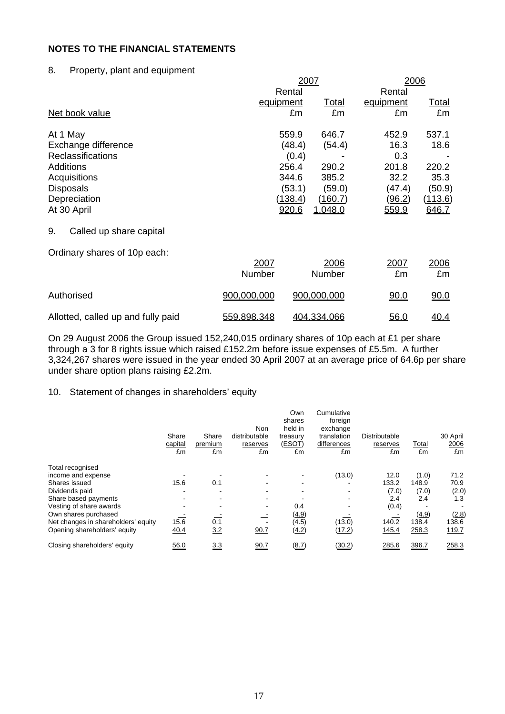## 8. Property, plant and equipment

|                               |             | <u> 2006</u> |                |             |              |
|-------------------------------|-------------|--------------|----------------|-------------|--------------|
|                               |             | Rental       |                | Rental      |              |
|                               | equipment   |              | Total          | equipment   | <b>Total</b> |
| Net book value                |             | £m           | £m             | £m          | £m           |
| At 1 May                      |             | 559.9        | 646.7          | 452.9       | 537.1        |
| Exchange difference           |             | (48.4)       | (54.4)         | 16.3        | 18.6         |
| <b>Reclassifications</b>      |             | (0.4)        |                | 0.3         |              |
| Additions                     |             | 256.4        | 290.2          | 201.8       | 220.2        |
| Acquisitions                  |             | 344.6        | 385.2          | 32.2        | 35.3         |
| <b>Disposals</b>              |             | (53.1)       | (59.0)         | (47.4)      | (50.9)       |
| Depreciation                  |             | (138.4)      | <u>(160.7)</u> | (96.2)      | (113.6)      |
| At 30 April                   |             | 920.6        | <u>1,048.0</u> | 559.9       | 646.7        |
| 9.<br>Called up share capital |             |              |                |             |              |
| Ordinary shares of 10p each:  |             |              |                |             |              |
|                               | 2007        |              | 2006           | 2007        | 2006         |
|                               | Number      |              | Number         | £m          | £m           |
| Authorised                    | 900,000,000 |              | 900,000,000    | <u>90.0</u> | 90.0         |

On 29 August 2006 the Group issued 152,240,015 ordinary shares of 10p each at £1 per share through a 3 for 8 rights issue which raised £152.2m before issue expenses of £5.5m. A further 3,324,267 shares were issued in the year ended 30 April 2007 at an average price of 64.6p per share under share option plans raising £2.2m.

Allotted, called up and fully paid  $559,898,348$   $404,334,066$  56.0  $40.4$ 

#### 10. Statement of changes in shareholders' equity

|                                     | Share<br>capital<br>£m | Share<br>premium<br>£m | <b>Non</b><br>distributable<br>reserves<br>£m | Own<br>shares<br>held in<br>treasury<br>(ESOT)<br>£m | Cumulative<br>foreign<br>exchange<br>translation<br>differences<br>£m | Distributable<br>reserves<br>£m | Total<br>£m | 30 April<br>2006<br>£m |
|-------------------------------------|------------------------|------------------------|-----------------------------------------------|------------------------------------------------------|-----------------------------------------------------------------------|---------------------------------|-------------|------------------------|
| Total recognised                    |                        |                        |                                               |                                                      |                                                                       |                                 |             |                        |
| income and expense                  |                        |                        |                                               |                                                      | (13.0)                                                                | 12.0                            | (1.0)       | 71.2                   |
| Shares issued                       | 15.6                   | 0.1                    | $\blacksquare$                                | $\overline{\phantom{a}}$                             |                                                                       | 133.2                           | 148.9       | 70.9                   |
| Dividends paid                      |                        |                        |                                               |                                                      |                                                                       | (7.0)                           | (7.0)       | (2.0)                  |
| Share based payments                |                        |                        |                                               |                                                      |                                                                       | 2.4                             | 2.4         | 1.3                    |
| Vesting of share awards             |                        |                        |                                               | 0.4                                                  |                                                                       | (0.4)                           |             |                        |
| Own shares purchased                |                        |                        |                                               | (4.9)                                                |                                                                       |                                 | (4.9)       | (2.8)                  |
| Net changes in shareholders' equity | 15.6                   | 0.1                    |                                               | (4.5)                                                | (13.0)                                                                | 140.2                           | 138.4       | 138.6                  |
| Opening shareholders' equity        | 40.4                   | <u>3.2</u>             | 90.7                                          | (4.2)                                                | (17.2)                                                                | 145.4                           | 258.3       | 119.7                  |
| Closing shareholders' equity        | 56.0                   | 3.3                    | 90.7                                          | (8.7)                                                | (30.2)                                                                | 285.6                           | 396.7       | 258.3                  |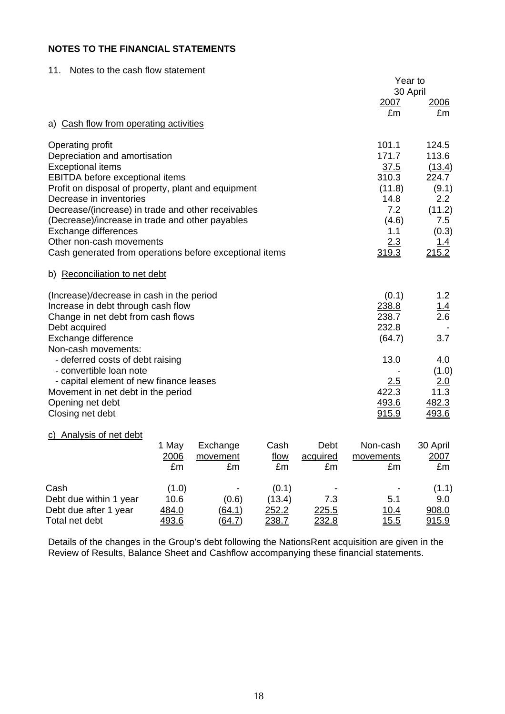#### 11. Notes to the cash flow statement

|                                                         |           | Year to           |  |  |
|---------------------------------------------------------|-----------|-------------------|--|--|
|                                                         |           | 30 April          |  |  |
|                                                         | 2007      | <u> 2006</u>      |  |  |
|                                                         | £m        | £m                |  |  |
| a) Cash flow from operating activities                  |           |                   |  |  |
| Operating profit                                        | 101.1     | 124.5             |  |  |
| Depreciation and amortisation                           | 171.7     | 113.6             |  |  |
| <b>Exceptional items</b>                                | 37.5      | (13.4)            |  |  |
| <b>EBITDA</b> before exceptional items                  | 310.3     | 224.7             |  |  |
| Profit on disposal of property, plant and equipment     | (11.8)    | (9.1)             |  |  |
| Decrease in inventories                                 | 14.8      | 2.2               |  |  |
| Decrease/(increase) in trade and other receivables      | 7.2       | (11.2)            |  |  |
| (Decrease)/increase in trade and other payables         | (4.6)     | 7.5               |  |  |
| Exchange differences                                    | 1.1       | (0.3)             |  |  |
| Other non-cash movements                                | 2.3       | 1.4               |  |  |
| Cash generated from operations before exceptional items | 319.3     | 215.2             |  |  |
| b) Reconciliation to net debt                           |           |                   |  |  |
| (Increase)/decrease in cash in the period               | (0.1)     | 1.2               |  |  |
| Increase in debt through cash flow                      | 238.8     | $\frac{1.4}{2.6}$ |  |  |
| Change in net debt from cash flows                      | 238.7     |                   |  |  |
| Debt acquired                                           | 232.8     |                   |  |  |
| Exchange difference                                     | (64.7)    | 3.7               |  |  |
| Non-cash movements:                                     |           |                   |  |  |
| - deferred costs of debt raising                        | 13.0      | 4.0               |  |  |
| - convertible loan note                                 |           | (1.0)             |  |  |
| - capital element of new finance leases                 | 2.5       | <u>2.0</u>        |  |  |
| Movement in net debt in the period                      | 422.3     | 11.3              |  |  |
| Opening net debt                                        | 493.6     | 482.3             |  |  |
| Closing net debt                                        | 915.9     | 493.6             |  |  |
| c) Analysis of net debt                                 |           |                   |  |  |
| 1 Mav<br>Cash<br>Debt<br>Exchange                       | Non-cash. | 30 April          |  |  |

|                        | 1 May | Exchange      | Cash          | Debt     | Non-cash     | 30 April |
|------------------------|-------|---------------|---------------|----------|--------------|----------|
|                        | 2006  | movement      | flow          | acquired | movements    | 2007     |
|                        | £m    | £m            | £m            | £m       | £m           | £m       |
| Cash                   | (1.0) |               | (0.1)         |          |              | (1.1)    |
| Debt due within 1 year | 10.6  | (0.6)         | (13.4)        | 7.3      | 5.1          | 9.0      |
| Debt due after 1 year  | 484.0 | (64.1)        | 252.2         | 225.5    | <u>10.4</u>  | 908.0    |
| Total net debt         | 493.6 | <u>(64.7)</u> | <u> 238.7</u> | 232.8    | <u> 15.5</u> | 915.9    |

Details of the changes in the Group's debt following the NationsRent acquisition are given in the Review of Results, Balance Sheet and Cashflow accompanying these financial statements.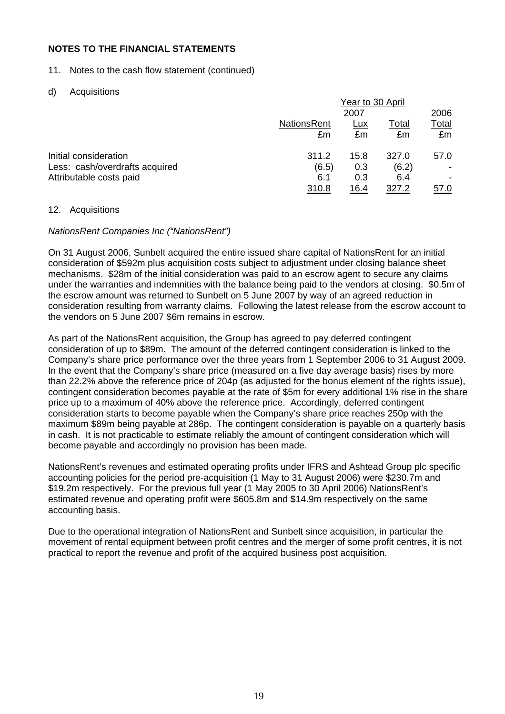- 11. Notes to the cash flow statement (continued)
- d) Acquisitions

|                                | Year to 30 April   |              |              |              |  |  |
|--------------------------------|--------------------|--------------|--------------|--------------|--|--|
|                                |                    | 2007         |              |              |  |  |
|                                | <b>NationsRent</b> | <u>Lux</u>   | Total        | <u>Total</u> |  |  |
|                                | £m                 | £m           | £m           | £m           |  |  |
| Initial consideration          | 311.2              | 15.8         | 327.0        | 57.0         |  |  |
| Less: cash/overdrafts acquired | (6.5)              | 0.3          | (6.2)        |              |  |  |
| Attributable costs paid        | <u>6.1</u>         | 0.3          | 6.4          |              |  |  |
|                                | <u>310.8</u>       | <u> 16.4</u> | <u>327.2</u> | <u>57.0</u>  |  |  |

## 12. Acquisitions

## *NationsRent Companies Inc ("NationsRent")*

On 31 August 2006, Sunbelt acquired the entire issued share capital of NationsRent for an initial consideration of \$592m plus acquisition costs subject to adjustment under closing balance sheet mechanisms. \$28m of the initial consideration was paid to an escrow agent to secure any claims under the warranties and indemnities with the balance being paid to the vendors at closing. \$0.5m of the escrow amount was returned to Sunbelt on 5 June 2007 by way of an agreed reduction in consideration resulting from warranty claims. Following the latest release from the escrow account to the vendors on 5 June 2007 \$6m remains in escrow.

As part of the NationsRent acquisition, the Group has agreed to pay deferred contingent consideration of up to \$89m. The amount of the deferred contingent consideration is linked to the Company's share price performance over the three years from 1 September 2006 to 31 August 2009. In the event that the Company's share price (measured on a five day average basis) rises by more than 22.2% above the reference price of 204p (as adjusted for the bonus element of the rights issue), contingent consideration becomes payable at the rate of \$5m for every additional 1% rise in the share price up to a maximum of 40% above the reference price. Accordingly, deferred contingent consideration starts to become payable when the Company's share price reaches 250p with the maximum \$89m being payable at 286p. The contingent consideration is payable on a quarterly basis in cash. It is not practicable to estimate reliably the amount of contingent consideration which will become payable and accordingly no provision has been made.

NationsRent's revenues and estimated operating profits under IFRS and Ashtead Group plc specific accounting policies for the period pre-acquisition (1 May to 31 August 2006) were \$230.7m and \$19.2m respectively. For the previous full year (1 May 2005 to 30 April 2006) NationsRent's estimated revenue and operating profit were \$605.8m and \$14.9m respectively on the same accounting basis.

Due to the operational integration of NationsRent and Sunbelt since acquisition, in particular the movement of rental equipment between profit centres and the merger of some profit centres, it is not practical to report the revenue and profit of the acquired business post acquisition.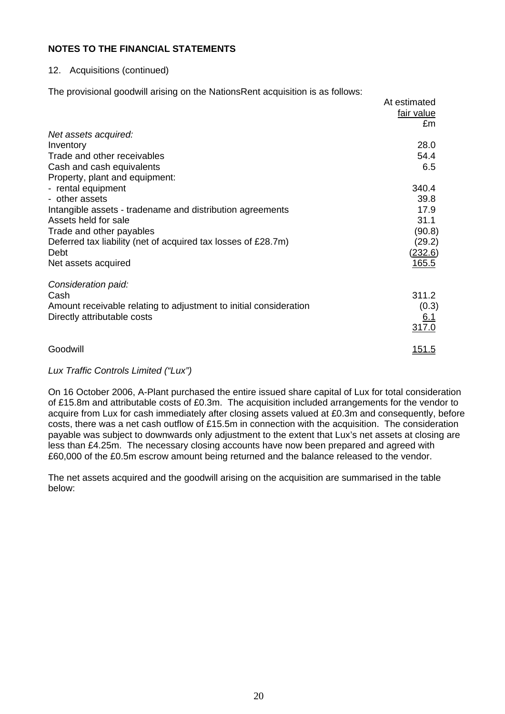## 12. Acquisitions (continued)

The provisional goodwill arising on the NationsRent acquisition is as follows:

| £m<br>28.0<br>54.4<br>6.5 |
|---------------------------|
|                           |
|                           |
|                           |
|                           |
|                           |
| 340.4                     |
| 39.8                      |
| 17.9                      |
| 31.1                      |
| (90.8)                    |
| (29.2)                    |
| <u>(232.6)</u>            |
| <u> 165.5</u>             |
|                           |
| 311.2                     |
| (0.3)                     |
| <u>6.1</u>                |
| 317.0                     |
| <u> 151.5</u>             |
|                           |

## *Lux Traffic Controls Limited ("Lux")*

On 16 October 2006, A-Plant purchased the entire issued share capital of Lux for total consideration of £15.8m and attributable costs of £0.3m. The acquisition included arrangements for the vendor to acquire from Lux for cash immediately after closing assets valued at £0.3m and consequently, before costs, there was a net cash outflow of £15.5m in connection with the acquisition. The consideration payable was subject to downwards only adjustment to the extent that Lux's net assets at closing are less than £4.25m. The necessary closing accounts have now been prepared and agreed with £60,000 of the £0.5m escrow amount being returned and the balance released to the vendor.

The net assets acquired and the goodwill arising on the acquisition are summarised in the table below: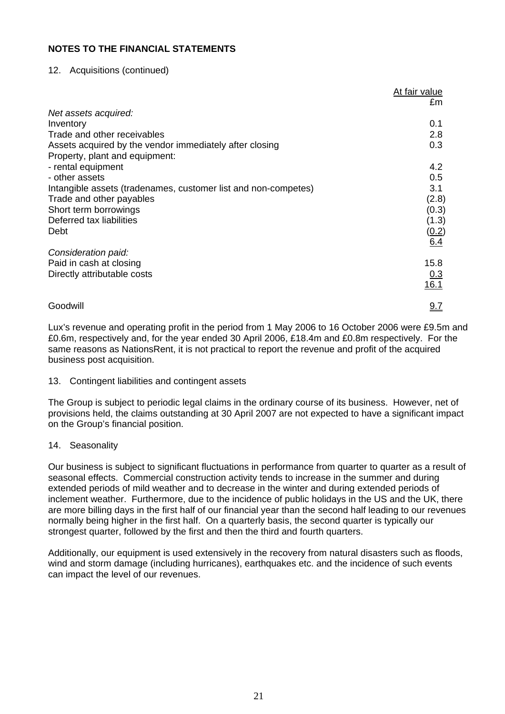## 12. Acquisitions (continued)

|                                                                | At fair value |
|----------------------------------------------------------------|---------------|
|                                                                | £m            |
| Net assets acquired:                                           |               |
| Inventory                                                      | 0.1           |
| Trade and other receivables                                    | 2.8           |
| Assets acquired by the vendor immediately after closing        | 0.3           |
| Property, plant and equipment:                                 |               |
| - rental equipment                                             | 4.2           |
| - other assets                                                 | 0.5           |
| Intangible assets (tradenames, customer list and non-competes) | 3.1           |
| Trade and other payables                                       | (2.8)         |
| Short term borrowings                                          | (0.3)         |
| Deferred tax liabilities                                       | (1.3)         |
| Debt                                                           | (0.2)         |
|                                                                | 6.4           |
| Consideration paid:                                            |               |
| Paid in cash at closing                                        | 15.8          |
| Directly attributable costs                                    | 0.3           |
|                                                                | 16.1          |
| Goodwill                                                       | <u>9.7</u>    |

Lux's revenue and operating profit in the period from 1 May 2006 to 16 October 2006 were £9.5m and £0.6m, respectively and, for the year ended 30 April 2006, £18.4m and £0.8m respectively. For the same reasons as NationsRent, it is not practical to report the revenue and profit of the acquired business post acquisition.

## 13. Contingent liabilities and contingent assets

The Group is subject to periodic legal claims in the ordinary course of its business. However, net of provisions held, the claims outstanding at 30 April 2007 are not expected to have a significant impact on the Group's financial position.

## 14. Seasonality

Our business is subject to significant fluctuations in performance from quarter to quarter as a result of seasonal effects. Commercial construction activity tends to increase in the summer and during extended periods of mild weather and to decrease in the winter and during extended periods of inclement weather. Furthermore, due to the incidence of public holidays in the US and the UK, there are more billing days in the first half of our financial year than the second half leading to our revenues normally being higher in the first half. On a quarterly basis, the second quarter is typically our strongest quarter, followed by the first and then the third and fourth quarters.

Additionally, our equipment is used extensively in the recovery from natural disasters such as floods, wind and storm damage (including hurricanes), earthquakes etc. and the incidence of such events can impact the level of our revenues.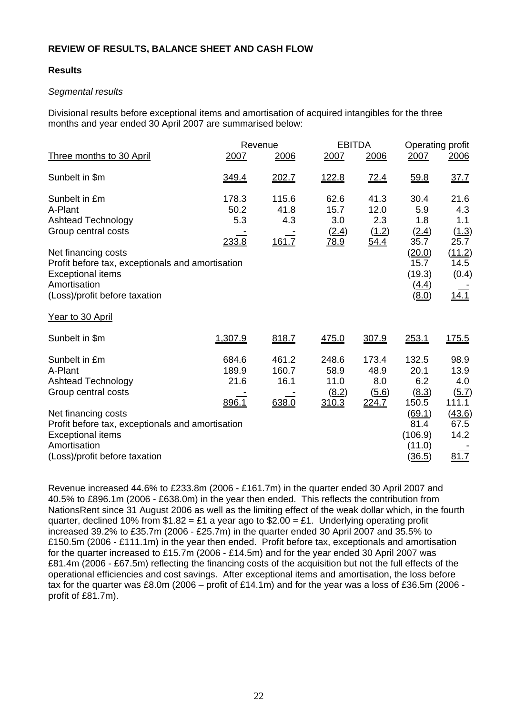## **Results**

## *Segmental results*

Divisional results before exceptional items and amortisation of acquired intangibles for the three months and year ended 30 April 2007 are summarised below:

|                                                                                                                                                                                                                                      | Revenue                         |                                 | <b>EBITDA</b>                               |                                        | Operating profit                                                                               |                                                                               |
|--------------------------------------------------------------------------------------------------------------------------------------------------------------------------------------------------------------------------------------|---------------------------------|---------------------------------|---------------------------------------------|----------------------------------------|------------------------------------------------------------------------------------------------|-------------------------------------------------------------------------------|
| Three months to 30 April                                                                                                                                                                                                             | 2007                            | 2006                            | 2007                                        | 2006                                   | 2007                                                                                           | 2006                                                                          |
| Sunbelt in \$m                                                                                                                                                                                                                       | 349.4                           | 202.7                           | <u>122.8</u>                                | <u>72.4</u>                            | 59.8                                                                                           | <u>37.7</u>                                                                   |
| Sunbelt in £m<br>A-Plant<br><b>Ashtead Technology</b><br>Group central costs<br>Net financing costs<br>Profit before tax, exceptionals and amortisation<br><b>Exceptional items</b><br>Amortisation<br>(Loss)/profit before taxation | 178.3<br>50.2<br>5.3<br>233.8   | 115.6<br>41.8<br>4.3<br>161.7   | 62.6<br>15.7<br>3.0<br>(2.4)<br><u>78.9</u> | 41.3<br>12.0<br>2.3<br>(1.2)<br>54.4   | 30.4<br>5.9<br>1.8<br>(2.4)<br>35.7<br><u>(20.0)</u><br>15.7<br>(19.3)<br>(4.4)<br>(8.0)       | 21.6<br>4.3<br>1.1<br>(1.3)<br>25.7<br>(11.2)<br>14.5<br>(0.4)<br><u>14.1</u> |
| Year to 30 April<br>Sunbelt in \$m                                                                                                                                                                                                   | 1,307.9                         | 818.7                           | 475.0                                       | 307.9                                  | 253.1                                                                                          | 175.5                                                                         |
| Sunbelt in £m<br>A-Plant<br><b>Ashtead Technology</b><br>Group central costs<br>Net financing costs<br>Profit before tax, exceptionals and amortisation<br><b>Exceptional items</b><br>Amortisation<br>(Loss)/profit before taxation | 684.6<br>189.9<br>21.6<br>896.1 | 461.2<br>160.7<br>16.1<br>638.0 | 248.6<br>58.9<br>11.0<br>(8.2)<br>310.3     | 173.4<br>48.9<br>8.0<br>(5.6)<br>224.7 | 132.5<br>20.1<br>6.2<br>(8.3)<br>150.5<br>(69.1)<br>81.4<br>(106.9)<br>(11.0)<br><u>(36.5)</u> | 98.9<br>13.9<br>4.0<br>(5.7)<br>111.1<br>(43.6)<br>67.5<br>14.2<br>81.7       |

Revenue increased 44.6% to £233.8m (2006 - £161.7m) in the quarter ended 30 April 2007 and 40.5% to £896.1m (2006 - £638.0m) in the year then ended. This reflects the contribution from NationsRent since 31 August 2006 as well as the limiting effect of the weak dollar which, in the fourth quarter, declined 10% from  $$1.82 = £1$  a year ago to  $$2.00 = £1$ . Underlying operating profit increased 39.2% to £35.7m (2006 - £25.7m) in the quarter ended 30 April 2007 and 35.5% to £150.5m (2006 - £111.1m) in the year then ended. Profit before tax, exceptionals and amortisation for the quarter increased to £15.7m (2006 - £14.5m) and for the year ended 30 April 2007 was £81.4m (2006 - £67.5m) reflecting the financing costs of the acquisition but not the full effects of the operational efficiencies and cost savings. After exceptional items and amortisation, the loss before tax for the quarter was £8.0m (2006 – profit of £14.1m) and for the year was a loss of £36.5m (2006 profit of £81.7m).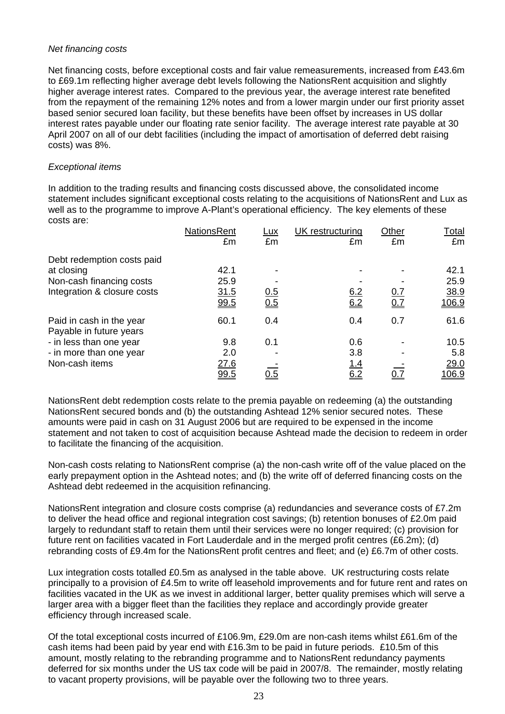#### *Net financing costs*

Net financing costs, before exceptional costs and fair value remeasurements, increased from £43.6m to £69.1m reflecting higher average debt levels following the NationsRent acquisition and slightly higher average interest rates. Compared to the previous year, the average interest rate benefited from the repayment of the remaining 12% notes and from a lower margin under our first priority asset based senior secured loan facility, but these benefits have been offset by increases in US dollar interest rates payable under our floating rate senior facility. The average interest rate payable at 30 April 2007 on all of our debt facilities (including the impact of amortisation of deferred debt raising costs) was 8%.

## *Exceptional items*

In addition to the trading results and financing costs discussed above, the consolidated income statement includes significant exceptional costs relating to the acquisitions of NationsRent and Lux as well as to the programme to improve A-Plant's operational efficiency. The key elements of these costs are:

|                                                     | <b>NationsRent</b><br>£m | <u>Lux</u><br>£m  | UK restructuring<br>£m | Other<br>£m | <u>Total</u><br>£m |
|-----------------------------------------------------|--------------------------|-------------------|------------------------|-------------|--------------------|
| Debt redemption costs paid                          |                          |                   |                        |             |                    |
| at closing                                          | 42.1                     |                   |                        |             | 42.1               |
| Non-cash financing costs                            | 25.9                     |                   |                        |             | 25.9               |
| Integration & closure costs                         | 31.5                     |                   | 6.2                    | <u>0.7</u>  | 38.9               |
|                                                     | 99.5                     | $\frac{0.5}{0.5}$ | 6.2                    | 0.7         | <u>106.9</u>       |
| Paid in cash in the year<br>Payable in future years | 60.1                     | 0.4               | 0.4                    | 0.7         | 61.6               |
| - in less than one year                             | 9.8                      | 0.1               | 0.6                    |             | 10.5               |
| - in more than one year                             | 2.0                      |                   | 3.8                    |             | 5.8                |
| Non-cash items                                      | 27.6                     |                   | 1.4                    |             | 29.0               |
|                                                     | 99.5                     | <u>0.5</u>        | 6.2                    | J. 1        | <u> 106.9</u>      |

NationsRent debt redemption costs relate to the premia payable on redeeming (a) the outstanding NationsRent secured bonds and (b) the outstanding Ashtead 12% senior secured notes. These amounts were paid in cash on 31 August 2006 but are required to be expensed in the income statement and not taken to cost of acquisition because Ashtead made the decision to redeem in order to facilitate the financing of the acquisition.

Non-cash costs relating to NationsRent comprise (a) the non-cash write off of the value placed on the early prepayment option in the Ashtead notes; and (b) the write off of deferred financing costs on the Ashtead debt redeemed in the acquisition refinancing.

NationsRent integration and closure costs comprise (a) redundancies and severance costs of £7.2m to deliver the head office and regional integration cost savings; (b) retention bonuses of £2.0m paid largely to redundant staff to retain them until their services were no longer required; (c) provision for future rent on facilities vacated in Fort Lauderdale and in the merged profit centres (£6.2m); (d) rebranding costs of £9.4m for the NationsRent profit centres and fleet; and (e) £6.7m of other costs.

Lux integration costs totalled £0.5m as analysed in the table above. UK restructuring costs relate principally to a provision of £4.5m to write off leasehold improvements and for future rent and rates on facilities vacated in the UK as we invest in additional larger, better quality premises which will serve a larger area with a bigger fleet than the facilities they replace and accordingly provide greater efficiency through increased scale.

Of the total exceptional costs incurred of £106.9m, £29.0m are non-cash items whilst £61.6m of the cash items had been paid by year end with £16.3m to be paid in future periods. £10.5m of this amount, mostly relating to the rebranding programme and to NationsRent redundancy payments deferred for six months under the US tax code will be paid in 2007/8. The remainder, mostly relating to vacant property provisions, will be payable over the following two to three years.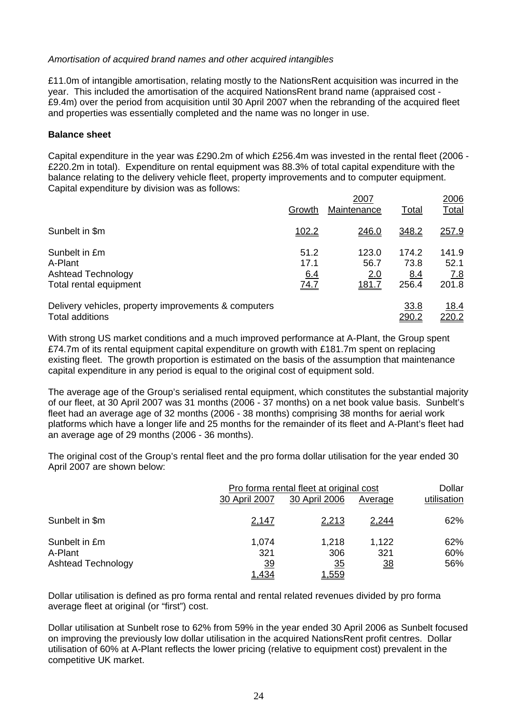## *Amortisation of acquired brand names and other acquired intangibles*

£11.0m of intangible amortisation, relating mostly to the NationsRent acquisition was incurred in the year. This included the amortisation of the acquired NationsRent brand name (appraised cost - £9.4m) over the period from acquisition until 30 April 2007 when the rebranding of the acquired fleet and properties was essentially completed and the name was no longer in use.

#### **Balance sheet**

Capital expenditure in the year was £290.2m of which £256.4m was invested in the rental fleet (2006 - £220.2m in total). Expenditure on rental equipment was 88.3% of total capital expenditure with the balance relating to the delivery vehicle fleet, property improvements and to computer equipment. Capital expenditure by division was as follows:

|                                                                                | Growth                             | 2007<br>Maintenance                   | Total                         | 2006<br>Total                        |
|--------------------------------------------------------------------------------|------------------------------------|---------------------------------------|-------------------------------|--------------------------------------|
| Sunbelt in \$m                                                                 | 102.2                              | <u>246.0</u>                          | <u>348.2</u>                  | <u>257.9</u>                         |
| Sunbelt in £m<br>A-Plant<br>Ashtead Technology<br>Total rental equipment       | 51.2<br>17.1<br>6.4<br><u>74.7</u> | 123.0<br>56.7<br>2.0<br><u> 181.7</u> | 174.2<br>73.8<br>8.4<br>256.4 | 141.9<br>52.1<br><u>7.8</u><br>201.8 |
| Delivery vehicles, property improvements & computers<br><b>Total additions</b> |                                    |                                       | 33.8<br><u> 290.2</u>         | 18.4<br>220.2                        |

With strong US market conditions and a much improved performance at A-Plant, the Group spent £74.7m of its rental equipment capital expenditure on growth with £181.7m spent on replacing existing fleet. The growth proportion is estimated on the basis of the assumption that maintenance capital expenditure in any period is equal to the original cost of equipment sold.

The average age of the Group's serialised rental equipment, which constitutes the substantial majority of our fleet, at 30 April 2007 was 31 months (2006 - 37 months) on a net book value basis. Sunbelt's fleet had an average age of 32 months (2006 - 38 months) comprising 38 months for aerial work platforms which have a longer life and 25 months for the remainder of its fleet and A-Plant's fleet had an average age of 29 months (2006 - 36 months).

The original cost of the Group's rental fleet and the pro forma dollar utilisation for the year ended 30 April 2007 are shown below:

|                    | Pro forma rental fleet at original cost |                |                | Dollar      |
|--------------------|-----------------------------------------|----------------|----------------|-------------|
|                    | 30 April 2007                           | 30 April 2006  | Average        | utilisation |
| Sunbelt in \$m     | 2,147                                   | 2,213          | 2,244          | 62%         |
| Sunbelt in £m      | 1,074                                   | 1,218          | 1,122          | 62%         |
| A-Plant            | 321                                     | 306            | 321            | 60%         |
| Ashtead Technology | <u>39</u>                               | $\frac{35}{5}$ | $\frac{38}{2}$ | 56%         |
|                    | <u>1,434</u>                            | 1,559          |                |             |

Dollar utilisation is defined as pro forma rental and rental related revenues divided by pro forma average fleet at original (or "first") cost.

Dollar utilisation at Sunbelt rose to 62% from 59% in the year ended 30 April 2006 as Sunbelt focused on improving the previously low dollar utilisation in the acquired NationsRent profit centres. Dollar utilisation of 60% at A-Plant reflects the lower pricing (relative to equipment cost) prevalent in the competitive UK market.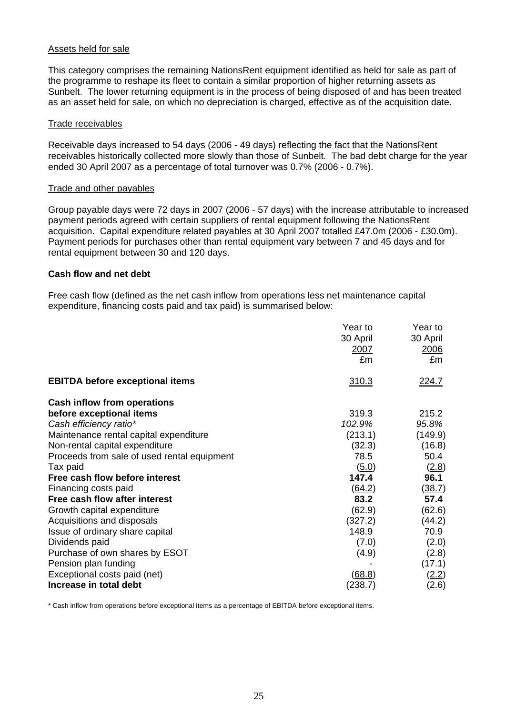#### Assets held for sale

This category comprises the remaining NationsRent equipment identified as held for sale as part of the programme to reshape its fleet to contain a similar proportion of higher returning assets as Sunbelt. The lower returning equipment is in the process of being disposed of and has been treated as an asset held for sale, on which no depreciation is charged, effective as of the acquisition date.

#### Trade receivables

Receivable days increased to 54 days (2006 - 49 days) reflecting the fact that the NationsRent receivables historically collected more slowly than those of Sunbelt. The bad debt charge for the year ended 30 April 2007 as a percentage of total turnover was 0.7% (2006 - 0.7%).

#### Trade and other payables

Group payable days were 72 days in 2007 (2006 - 57 days) with the increase attributable to increased payment periods agreed with certain suppliers of rental equipment following the NationsRent acquisition. Capital expenditure related payables at 30 April 2007 totalled £47.0m (2006 - £30.0m). Payment periods for purchases other than rental equipment vary between 7 and 45 days and for rental equipment between 30 and 120 days.

#### **Cash flow and net debt**

Free cash flow (defined as the net cash inflow from operations less net maintenance capital expenditure, financing costs paid and tax paid) is summarised below:

|                                             | Year to<br>30 April<br>2007<br>£m | Year to<br>30 April<br>2006<br>£m |
|---------------------------------------------|-----------------------------------|-----------------------------------|
| <b>EBITDA before exceptional items</b>      | 310.3                             | <u>224.7</u>                      |
| <b>Cash inflow from operations</b>          |                                   |                                   |
| before exceptional items                    | 319.3                             | 215.2                             |
| Cash efficiency ratio*                      | 102.9%                            | 95.8%                             |
| Maintenance rental capital expenditure      | (213.1)                           | (149.9)                           |
| Non-rental capital expenditure              | (32.3)                            | (16.8)                            |
| Proceeds from sale of used rental equipment | 78.5                              | 50.4                              |
| Tax paid                                    | (5.0)                             | (2.8)                             |
| Free cash flow before interest              | 147.4                             | 96.1                              |
| Financing costs paid                        | (64.2)                            | (38.7)                            |
| Free cash flow after interest               | 83.2                              | 57.4                              |
| Growth capital expenditure                  | (62.9)                            | (62.6)                            |
| Acquisitions and disposals                  | (327.2)                           | (44.2)                            |
| Issue of ordinary share capital             | 148.9                             | 70.9                              |
| Dividends paid                              | (7.0)                             | (2.0)                             |
| Purchase of own shares by ESOT              | (4.9)                             | (2.8)                             |
| Pension plan funding                        |                                   | (17.1)                            |
| Exceptional costs paid (net)                | <u>(68.8)</u>                     | (2.2)                             |
| Increase in total debt                      | (238.7)                           | (2.6)                             |

\* Cash inflow from operations before exceptional items as a percentage of EBITDA before exceptional items.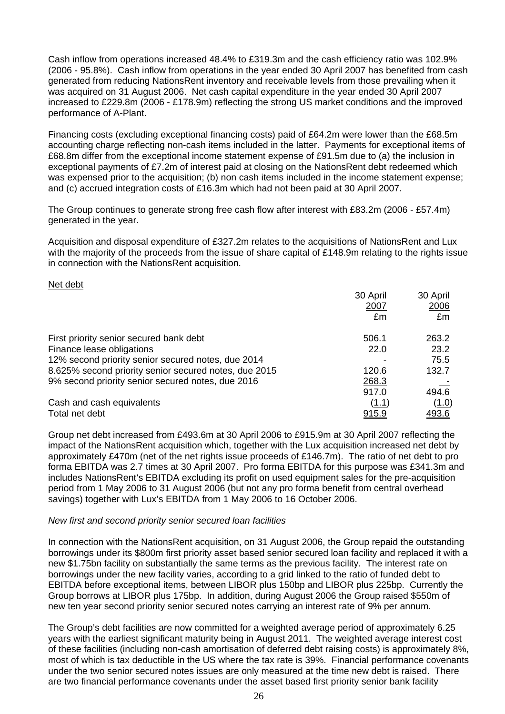Cash inflow from operations increased 48.4% to £319.3m and the cash efficiency ratio was 102.9% (2006 - 95.8%). Cash inflow from operations in the year ended 30 April 2007 has benefited from cash generated from reducing NationsRent inventory and receivable levels from those prevailing when it was acquired on 31 August 2006. Net cash capital expenditure in the year ended 30 April 2007 increased to £229.8m (2006 - £178.9m) reflecting the strong US market conditions and the improved performance of A-Plant.

Financing costs (excluding exceptional financing costs) paid of £64.2m were lower than the £68.5m accounting charge reflecting non-cash items included in the latter. Payments for exceptional items of £68.8m differ from the exceptional income statement expense of £91.5m due to (a) the inclusion in exceptional payments of £7.2m of interest paid at closing on the NationsRent debt redeemed which was expensed prior to the acquisition; (b) non cash items included in the income statement expense; and (c) accrued integration costs of £16.3m which had not been paid at 30 April 2007.

The Group continues to generate strong free cash flow after interest with £83.2m (2006 - £57.4m) generated in the year.

Acquisition and disposal expenditure of £327.2m relates to the acquisitions of NationsRent and Lux with the majority of the proceeds from the issue of share capital of £148.9m relating to the rights issue in connection with the NationsRent acquisition.

#### Net debt

|                                                       | 30 April     | 30 April     |
|-------------------------------------------------------|--------------|--------------|
|                                                       | 2007         | 2006         |
|                                                       | £m           | £m           |
| First priority senior secured bank debt               | 506.1        | 263.2        |
| Finance lease obligations                             | 22.0         | 23.2         |
| 12% second priority senior secured notes, due 2014    |              | 75.5         |
| 8.625% second priority senior secured notes, due 2015 | 120.6        | 132.7        |
| 9% second priority senior secured notes, due 2016     | 268.3        |              |
|                                                       | 917.0        | 494.6        |
| Cash and cash equivalents                             | (1.1)        | (1.0)        |
| Total net debt                                        | <u>915.9</u> | <u>493.6</u> |

Group net debt increased from £493.6m at 30 April 2006 to £915.9m at 30 April 2007 reflecting the impact of the NationsRent acquisition which, together with the Lux acquisition increased net debt by approximately £470m (net of the net rights issue proceeds of £146.7m). The ratio of net debt to pro forma EBITDA was 2.7 times at 30 April 2007. Pro forma EBITDA for this purpose was £341.3m and includes NationsRent's EBITDA excluding its profit on used equipment sales for the pre-acquisition period from 1 May 2006 to 31 August 2006 (but not any pro forma benefit from central overhead savings) together with Lux's EBITDA from 1 May 2006 to 16 October 2006.

#### *New first and second priority senior secured loan facilities*

In connection with the NationsRent acquisition, on 31 August 2006, the Group repaid the outstanding borrowings under its \$800m first priority asset based senior secured loan facility and replaced it with a new \$1.75bn facility on substantially the same terms as the previous facility. The interest rate on borrowings under the new facility varies, according to a grid linked to the ratio of funded debt to EBITDA before exceptional items, between LIBOR plus 150bp and LIBOR plus 225bp. Currently the Group borrows at LIBOR plus 175bp. In addition, during August 2006 the Group raised \$550m of new ten year second priority senior secured notes carrying an interest rate of 9% per annum.

The Group's debt facilities are now committed for a weighted average period of approximately 6.25 years with the earliest significant maturity being in August 2011. The weighted average interest cost of these facilities (including non-cash amortisation of deferred debt raising costs) is approximately 8%, most of which is tax deductible in the US where the tax rate is 39%. Financial performance covenants under the two senior secured notes issues are only measured at the time new debt is raised. There are two financial performance covenants under the asset based first priority senior bank facility